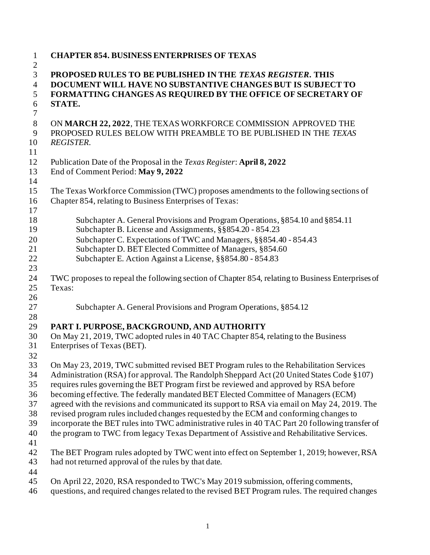| $\mathbf{1}$            | <b>CHAPTER 854. BUSINESS ENTERPRISES OF TEXAS</b>                                                                                 |
|-------------------------|-----------------------------------------------------------------------------------------------------------------------------------|
| $\overline{c}$<br>3     | PROPOSED RULES TO BE PUBLISHED IN THE TEXAS REGISTER. THIS                                                                        |
| $\overline{4}$          | DOCUMENT WILL HAVE NO SUBSTANTIVE CHANGES BUT IS SUBJECT TO                                                                       |
| 5                       | FORMATTING CHANGES AS REQUIRED BY THE OFFICE OF SECRETARY OF                                                                      |
| $\boldsymbol{6}$        | STATE.                                                                                                                            |
| $\tau$                  |                                                                                                                                   |
| $8\,$<br>$\overline{9}$ | ON MARCH 22, 2022, THE TEXAS WORKFORCE COMMISSION APPROVED THE<br>PROPOSED RULES BELOW WITH PREAMBLE TO BE PUBLISHED IN THE TEXAS |
| 10<br>11                | <b>REGISTER.</b>                                                                                                                  |
| 12                      | Publication Date of the Proposal in the Texas Register: April 8, 2022                                                             |
| 13<br>14                | End of Comment Period: May 9, 2022                                                                                                |
| 15                      | The Texas Workforce Commission (TWC) proposes amendments to the following sections of                                             |
| 16<br>17                | Chapter 854, relating to Business Enterprises of Texas:                                                                           |
| 18                      | Subchapter A. General Provisions and Program Operations, §854.10 and §854.11                                                      |
| 19                      | Subchapter B. License and Assignments, §§854.20 - 854.23                                                                          |
| 20                      | Subchapter C. Expectations of TWC and Managers, §§854.40 - 854.43                                                                 |
| 21                      | Subchapter D. BET Elected Committee of Managers, §854.60                                                                          |
| 22                      | Subchapter E. Action Against a License, §§854.80 - 854.83                                                                         |
| 23                      |                                                                                                                                   |
| 24                      | TWC proposes to repeal the following section of Chapter 854, relating to Business Enterprises of                                  |
| 25                      | Texas:                                                                                                                            |
| 26                      |                                                                                                                                   |
| 27                      | Subchapter A. General Provisions and Program Operations, §854.12                                                                  |
| 28                      |                                                                                                                                   |
| 29                      | PART I. PURPOSE, BACKGROUND, AND AUTHORITY                                                                                        |
| 30                      | On May 21, 2019, TWC adopted rules in 40 TAC Chapter 854, relating to the Business                                                |
| 31                      | Enterprises of Texas (BET).                                                                                                       |
| 32                      |                                                                                                                                   |
| 33                      | On May 23, 2019, TWC submitted revised BET Program rules to the Rehabilitation Services                                           |
| 34                      | Administration (RSA) for approval. The Randolph Sheppard Act (20 United States Code §107)                                         |
| 35                      | requires rules governing the BET Program first be reviewed and approved by RSA before                                             |
| 36                      | becoming effective. The federally mandated BET Elected Committee of Managers (ECM)                                                |
| 37                      | agreed with the revisions and communicated its support to RSA via email on May 24, 2019. The                                      |
| 38                      | revised program rules included changes requested by the ECM and conforming changes to                                             |
| 39                      | incorporate the BET rules into TWC administrative rules in 40 TAC Part 20 following transfer of                                   |
| 40                      | the program to TWC from legacy Texas Department of Assistive and Rehabilitative Services.                                         |
| 41                      |                                                                                                                                   |
| 42                      | The BET Program rules adopted by TWC went into effect on September 1, 2019; however, RSA                                          |
| 43                      | had not returned approval of the rules by that date.                                                                              |
| 44                      |                                                                                                                                   |
| 45                      | On April 22, 2020, RSA responded to TWC's May 2019 submission, offering comments,                                                 |
| 46                      | questions, and required changes related to the revised BET Program rules. The required changes                                    |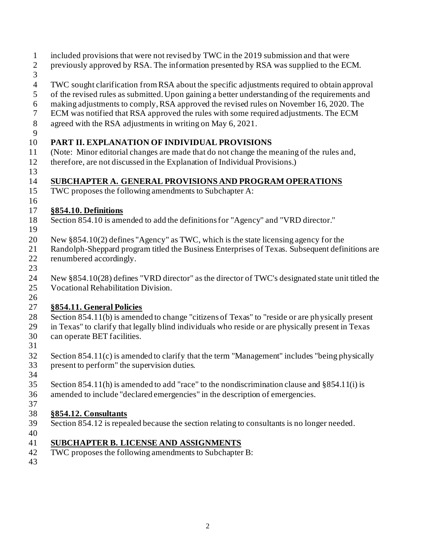- included provisions that were not revised by TWC in the 2019 submission and that were
- previously approved by RSA. The information presented by RSA was supplied to the ECM.
- 
- TWC sought clarification from RSA about the specific adjustments required to obtain approval
- of the revised rules as submitted. Upon gaining a better understanding of the requirements and
- making adjustments to comply, RSA approved the revised rules on November 16, 2020. The
- ECM was notified that RSA approved the rules with some required adjustments. The ECM
- agreed with the RSA adjustments in writing on May 6, 2021.
- 

### **PART II. EXPLANATION OF INDIVIDUAL PROVISIONS**

- (Note: Minor editorial changes are made that do not change the meaning of the rules and,
- therefore, are not discussed in the Explanation of Individual Provisions.)
- 

# **SUBCHAPTER A. GENERAL PROVISIONS AND PROGRAM OPERATIONS**

- TWC proposes the following amendments to Subchapter A:
- 

### **§854.10. Definitions**

- Section 854.10 is amended to add the definitions for "Agency" and "VRD director."
- 
- New §854.10(2) defines "Agency" as TWC, which is the state licensing agency for the
- Randolph-Sheppard program titled the Business Enterprises of Texas. Subsequent definitions are renumbered accordingly.
- 
- New §854.10(28) defines "VRD director" as the director of TWC's designated state unit titled the Vocational Rehabilitation Division.
- 

# **§854.11. General Policies**

- Section 854.11(b) is amended to change "citizens of Texas" to "reside or are physically present
- in Texas" to clarify that legally blind individuals who reside or are physically present in Texas
- can operate BET facilities.
- 
- Section 854.11(c) is amended to clarify that the term "Management" includes "being physically present to perform" the supervision duties.
- 
- Section 854.11(h) is amended to add "race" to the nondiscrimination clause and §854.11(i) is
- amended to include "declared emergencies" in the description of emergencies.

#### **§854.12. Consultants**

- Section 854.12 is repealed because the section relating to consultants is no longer needed.
- 

# **SUBCHAPTER B. LICENSE AND ASSIGNMENTS**

- TWC proposes the following amendments to Subchapter B:
-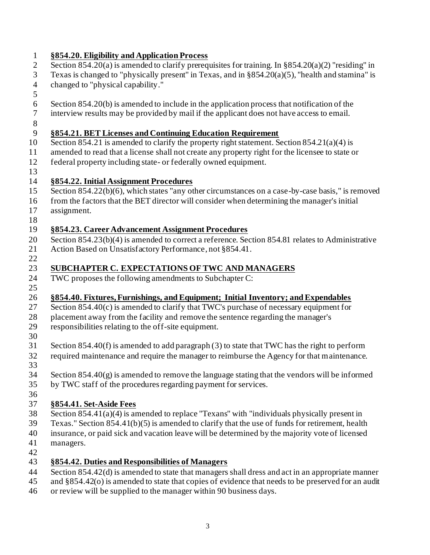| $\mathbf{1}$   | §854.20. Eligibility and Application Process                                                           |
|----------------|--------------------------------------------------------------------------------------------------------|
| $\mathbf{2}$   | Section 854.20(a) is amended to clarify prerequisites for training. In $\S 854.20(a)(2)$ "residing" in |
| 3              | Texas is changed to "physically present" in Texas, and in $\S 854.20(a)(5)$ , "health and stamina" is  |
| $\overline{4}$ | changed to "physical capability."                                                                      |
| 5              |                                                                                                        |
| $\sqrt{6}$     | Section 854.20(b) is amended to include in the application process that notification of the            |
| $\overline{7}$ | interview results may be provided by mail if the applicant does not have access to email.              |
| $8\,$          |                                                                                                        |
| 9              | §854.21. BET Licenses and Continuing Education Requirement                                             |
| 10             | Section 854.21 is amended to clarify the property right statement. Section $854.21(a)(4)$ is           |
| 11             | amended to read that a license shall not create any property right for the licensee to state or        |
| 12             | federal property including state- or federally owned equipment.                                        |
| 13             |                                                                                                        |
| 14             | §854.22. Initial Assignment Procedures                                                                 |
| 15             | Section 854.22(b)(6), which states "any other circumstances on a case-by-case basis," is removed       |
| 16             | from the factors that the BET director will consider when determining the manager's initial            |
| 17             | assignment.                                                                                            |
| 18             |                                                                                                        |
| 19             | §854.23. Career Advancement Assignment Procedures                                                      |
| 20             | Section 854.23(b)(4) is amended to correct a reference. Section 854.81 relates to Administrative       |
| 21             | Action Based on Unsatisfactory Performance, not §854.41.                                               |
| 22             |                                                                                                        |
| 23             | SUBCHAPTER C. EXPECTATIONS OF TWC AND MANAGERS                                                         |
| 24             | TWC proposes the following amendments to Subchapter C:                                                 |
| 25             |                                                                                                        |
| 26             | §854.40. Fixtures, Furnishings, and Equipment; Initial Inventory; and Expendables                      |
| 27             | Section 854.40(c) is amended to clarify that TWC's purchase of necessary equipment for                 |
| 28             | placement away from the facility and remove the sentence regarding the manager's                       |
| 29             | responsibilities relating to the off-site equipment.                                                   |
| 30<br>31       | Section $854.40(f)$ is amended to add paragraph (3) to state that TWC has the right to perform         |
| 32             | required maintenance and require the manager to reimburse the Agency for that maintenance.             |
|                |                                                                                                        |
| 33<br>34       | Section $854.40(g)$ is amended to remove the language stating that the vendors will be informed        |
| 35             | by TWC staff of the procedures regarding payment for services.                                         |
| 36             |                                                                                                        |
| 37             | §854.41. Set-Aside Fees                                                                                |
| 38             | Section $854.41(a)(4)$ is amended to replace "Texans" with "individuals physically present in          |
| 39             | Texas." Section 854.41(b)(5) is amended to clarify that the use of funds for retirement, health        |
| 40             | insurance, or paid sick and vacation leave will be determined by the majority vote of licensed         |
| 41             | managers.                                                                                              |
| 42             |                                                                                                        |
| 43             | §854.42. Duties and Responsibilities of Managers                                                       |
| 44             | Section 854.42(d) is amended to state that managers shall dress and act in an appropriate manner       |

- and §854.42(o) is amended to state that copies of evidence that needs to be preserved for an audit
- or review will be supplied to the manager within 90 business days.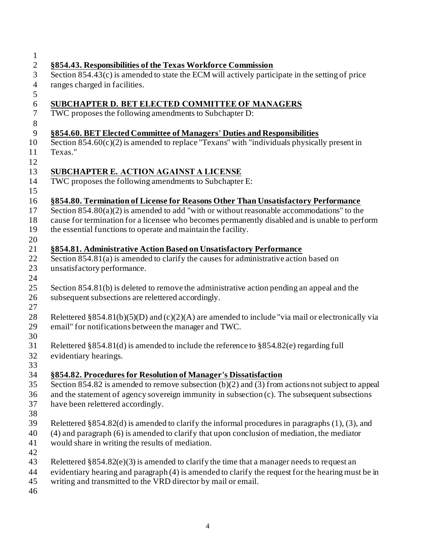| $\mathbf{1}$   |                                                                                                      |
|----------------|------------------------------------------------------------------------------------------------------|
| $\overline{2}$ | §854.43. Responsibilities of the Texas Workforce Commission                                          |
| 3              | Section $854.43(c)$ is amended to state the ECM will actively participate in the setting of price    |
| $\overline{4}$ | ranges charged in facilities.                                                                        |
| 5              |                                                                                                      |
| 6              | SUBCHAPTER D. BET ELECTED COMMITTEE OF MANAGERS                                                      |
| $\tau$         | TWC proposes the following amendments to Subchapter D:                                               |
| $\,8\,$        |                                                                                                      |
| 9              | §854.60. BET Elected Committee of Managers' Duties and Responsibilities                              |
| 10             | Section $854.60(c)(2)$ is amended to replace "Texans" with "individuals physically present in        |
| 11             | Texas."                                                                                              |
| 12             |                                                                                                      |
| 13             | SUBCHAPTER E. ACTION AGAINST A LICENSE                                                               |
| 14             | TWC proposes the following amendments to Subchapter E:                                               |
| 15             |                                                                                                      |
| 16             | §854.80. Termination of License for Reasons Other Than Unsatisfactory Performance                    |
| 17             | Section $854.80(a)(2)$ is amended to add "with or without reasonable accommodations" to the          |
| 18             | cause for termination for a licensee who becomes permanently disabled and is unable to perform       |
| 19             | the essential functions to operate and maintain the facility.                                        |
| 20             |                                                                                                      |
| 21             | §854.81. Administrative Action Based on Unsatisfactory Performance                                   |
| 22             | Section 854.81(a) is amended to clarify the causes for administrative action based on                |
| 23             | unsatisfactory performance.                                                                          |
| 24             |                                                                                                      |
| 25             | Section 854.81(b) is deleted to remove the administrative action pending an appeal and the           |
| 26             | subsequent subsections are relettered accordingly.                                                   |
| 27             |                                                                                                      |
| 28             | Relettered §854.81(b)(5)(D) and (c)(2)(A) are amended to include "via mail or electronically via     |
| 29             | email" for notifications between the manager and TWC.                                                |
| 30             |                                                                                                      |
| 31             | Relettered $\S 854.81(d)$ is amended to include the reference to $\S 854.82(e)$ regarding full       |
| 32             | evidentiary hearings.                                                                                |
| 33             |                                                                                                      |
| 34             | §854.82. Procedures for Resolution of Manager's Dissatisfaction                                      |
| 35             | Section 854.82 is amended to remove subsection $(b)(2)$ and $(3)$ from actions not subject to appeal |
| 36             | and the statement of agency sovereign immunity in subsection (c). The subsequent subsections         |
| 37             | have been relettered accordingly.                                                                    |
| 38             |                                                                                                      |
| 39             | Relettered $§854.82(d)$ is amended to clarify the informal procedures in paragraphs (1), (3), and    |
| 40             | $(4)$ and paragraph $(6)$ is amended to clarify that upon conclusion of mediation, the mediator      |
| 41             | would share in writing the results of mediation.                                                     |
| 42             |                                                                                                      |
| 43             | Relettered $\S 854.82(e)(3)$ is amended to clarify the time that a manager needs to request an       |
| 44             | evidentiary hearing and paragraph (4) is amended to clarify the request for the hearing must be in   |
| 45             | writing and transmitted to the VRD director by mail or email.                                        |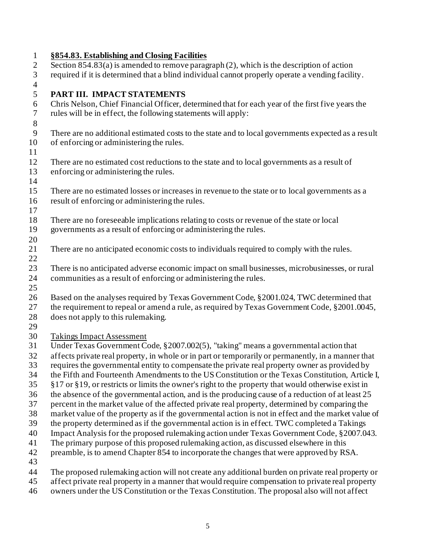### **§854.83. Establishing and Closing Facilities** Section 854.83(a) is amended to remove paragraph (2), which is the description of action required if it is determined that a blind individual cannot properly operate a vending facility. **PART III. IMPACT STATEMENTS** Chris Nelson, Chief Financial Officer, determined that for each year of the first five years the rules will be in effect, the following statements will apply: There are no additional estimated costs to the state and to local governments expected as a result of enforcing or administering the rules. There are no estimated cost reductions to the state and to local governments as a result of enforcing or administering the rules. There are no estimated losses or increases in revenue to the state or to local governments as a result of enforcing or administering the rules. There are no foreseeable implications relating to costs or revenue of the state or local governments as a result of enforcing or administering the rules. There are no anticipated economic costs to individuals required to comply with the rules. There is no anticipated adverse economic impact on small businesses, microbusinesses, or rural communities as a result of enforcing or administering the rules. Based on the analyses required by Texas Government Code, §2001.024, TWC determined that 27 the requirement to repeal or amend a rule, as required by Texas Government Code, §2001.0045, does not apply to this rulemaking. Takings Impact Assessment Under Texas Government Code, §2007.002(5), "taking" means a governmental action that affects private real property, in whole or in part or temporarily or permanently, in a manner that requires the governmental entity to compensate the private real property owner as provided by the Fifth and Fourteenth Amendments to the US Constitution or the Texas Constitution, Article I, §17 or §19, or restricts or limits the owner's right to the property that would otherwise exist in the absence of the governmental action, and is the producing cause of a reduction of at least 25 percent in the market value of the affected private real property, determined by comparing the market value of the property as if the governmental action is not in effect and the market value of the property determined as if the governmental action is in effect. TWC completed a Takings Impact Analysis for the proposed rulemaking action under Texas Government Code, §2007.043. The primary purpose of this proposed rulemaking action, as discussed elsewhere in this preamble, is to amend Chapter 854 to incorporate the changes that were approved by RSA. The proposed rulemaking action will not create any additional burden on private real property or affect private real property in a manner that would require compensation to private real property owners under the US Constitution or the Texas Constitution. The proposal also will not affect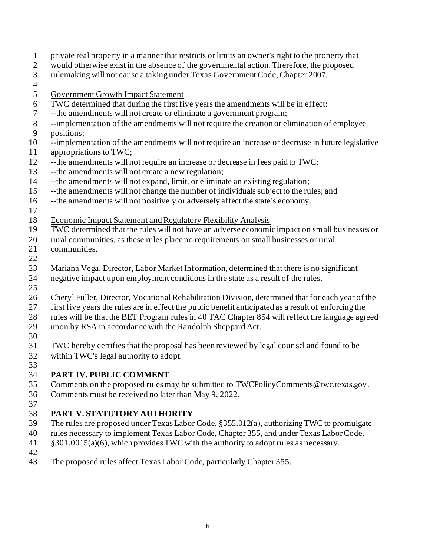- private real property in a manner that restricts or limits an owner's right to the property that would otherwise exist in the absence of the governmental action. Therefore, the proposed rulemaking will not cause a taking under Texas Government Code, Chapter 2007. Government Growth Impact Statement TWC determined that during the first five years the amendments will be in effect: --the amendments will not create or eliminate a government program; --implementation of the amendments will not require the creation or elimination of employee positions; --implementation of the amendments will not require an increase or decrease in future legislative appropriations to TWC; --the amendments will not require an increase or decrease in fees paid to TWC; --the amendments will not create a new regulation; --the amendments will not expand, limit, or eliminate an existing regulation; --the amendments will not change the number of individuals subject to the rules; and --the amendments will not positively or adversely affect the state's economy. Economic Impact Statement and Regulatory Flexibility Analysis TWC determined that the rules will not have an adverse economic impact on small businesses or rural communities, as these rules place no requirements on small businesses or rural communities. Mariana Vega, Director, Labor Market Information, determined that there is no significant negative impact upon employment conditions in the state as a result of the rules. Cheryl Fuller, Director, Vocational Rehabilitation Division, determined that for each year of the first five years the rules are in effect the public benefit anticipated as a result of enforcing the rules will be that the BET Program rules in 40 TAC Chapter 854 will reflect the language agreed upon by RSA in accordance with the Randolph Sheppard Act. TWC hereby certifies that the proposal has been reviewed by legal counsel and found to be within TWC's legal authority to adopt. **PART IV. PUBLIC COMMENT** Comments on the proposed rules may be submitted to TWCPolicyComments@twc.texas.gov.
- Comments must be received no later than May 9, 2022.

### **PART V. STATUTORY AUTHORITY**

- The rules are proposed under Texas Labor Code, §355.012(a), authorizing TWC to promulgate
- rules necessary to implement Texas Labor Code, Chapter 355, and under Texas Labor Code,
- §301.0015(a)(6), which provides TWC with the authority to adopt rules as necessary.
- 

The proposed rules affect Texas Labor Code, particularly Chapter 355.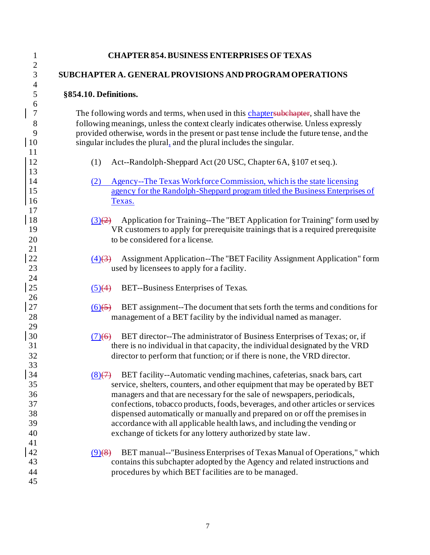| $\mathbf{1}$                        | <b>CHAPTER 854. BUSINESS ENTERPRISES OF TEXAS</b>                                                                                                                                                                                                                                                                                                                                                                                        |
|-------------------------------------|------------------------------------------------------------------------------------------------------------------------------------------------------------------------------------------------------------------------------------------------------------------------------------------------------------------------------------------------------------------------------------------------------------------------------------------|
| $\overline{2}$<br>3                 | SUBCHAPTER A. GENERAL PROVISIONS AND PROGRAM OPERATIONS                                                                                                                                                                                                                                                                                                                                                                                  |
| $\overline{4}$<br>5                 | §854.10. Definitions.                                                                                                                                                                                                                                                                                                                                                                                                                    |
| 6<br>$\overline{7}$<br>8<br>9<br>10 | The following words and terms, when used in this chaptersubehapter, shall have the<br>following meanings, unless the context clearly indicates otherwise. Unless expressly<br>provided otherwise, words in the present or past tense include the future tense, and the<br>singular includes the plural, and the plural includes the singular.                                                                                            |
| 11                                  | Act--Randolph-Sheppard Act (20 USC, Chapter 6A, §107 et seq.).                                                                                                                                                                                                                                                                                                                                                                           |
| 12                                  | (1)                                                                                                                                                                                                                                                                                                                                                                                                                                      |
| 13<br>14<br>15<br>16<br>17          | Agency--The Texas Workforce Commission, which is the state licensing<br>(2)<br>agency for the Randolph-Sheppard program titled the Business Enterprises of<br>Texas.                                                                                                                                                                                                                                                                     |
| 18                                  | Application for Training--The "BET Application for Training" form used by                                                                                                                                                                                                                                                                                                                                                                |
| 19                                  | $\left(3\right)\left(2\right)$                                                                                                                                                                                                                                                                                                                                                                                                           |
| 20                                  | VR customers to apply for prerequisite trainings that is a required prerequisite                                                                                                                                                                                                                                                                                                                                                         |
| 21                                  | to be considered for a license.                                                                                                                                                                                                                                                                                                                                                                                                          |
| 22                                  | Assignment Application--The "BET Facility Assignment Application" form                                                                                                                                                                                                                                                                                                                                                                   |
| 23                                  | $(4)$ $(3)$                                                                                                                                                                                                                                                                                                                                                                                                                              |
| 24                                  | used by licensees to apply for a facility.                                                                                                                                                                                                                                                                                                                                                                                               |
| 25                                  | BET--Business Enterprises of Texas.                                                                                                                                                                                                                                                                                                                                                                                                      |
| 26                                  | $\left( 5 \right) (4)$                                                                                                                                                                                                                                                                                                                                                                                                                   |
| 27                                  | BET assignment--The document that sets forth the terms and conditions for                                                                                                                                                                                                                                                                                                                                                                |
| 28                                  | $(6)$ (5)                                                                                                                                                                                                                                                                                                                                                                                                                                |
| 29                                  | management of a BET facility by the individual named as manager.                                                                                                                                                                                                                                                                                                                                                                         |
| 30                                  | BET director--The administrator of Business Enterprises of Texas; or, if                                                                                                                                                                                                                                                                                                                                                                 |
| 31                                  | (7)(6)                                                                                                                                                                                                                                                                                                                                                                                                                                   |
| 32                                  | there is no individual in that capacity, the individual designated by the VRD                                                                                                                                                                                                                                                                                                                                                            |
| 33                                  | director to perform that function; or if there is none, the VRD director.                                                                                                                                                                                                                                                                                                                                                                |
| 34<br>35<br>36<br>37<br>38          | BET facility--Automatic vending machines, cafeterias, snack bars, cart<br>$\left(8\right)$ $\left(7\right)$<br>service, shelters, counters, and other equipment that may be operated by BET<br>managers and that are necessary for the sale of newspapers, periodicals,<br>confections, tobacco products, foods, beverages, and other articles or services<br>dispensed automatically or manually and prepared on or off the premises in |
| 39<br>40<br>41                      | accordance with all applicable health laws, and including the vending or<br>exchange of tickets for any lottery authorized by state law.                                                                                                                                                                                                                                                                                                 |
| 42                                  | BET manual--"Business Enterprises of Texas Manual of Operations," which                                                                                                                                                                                                                                                                                                                                                                  |
| 43                                  | $(9)$ (8)                                                                                                                                                                                                                                                                                                                                                                                                                                |
| 44                                  | contains this subchapter adopted by the Agency and related instructions and                                                                                                                                                                                                                                                                                                                                                              |
| 45                                  | procedures by which BET facilities are to be managed.                                                                                                                                                                                                                                                                                                                                                                                    |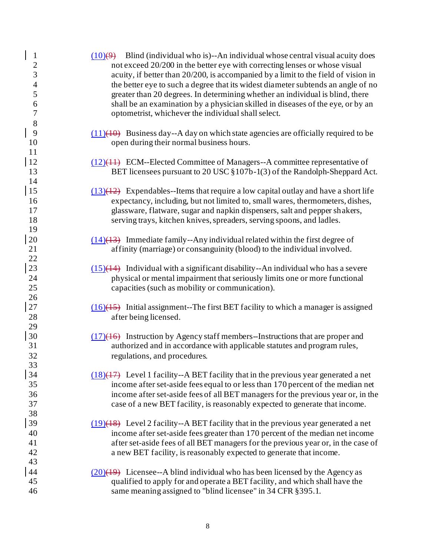| $\mathbf{1}$<br>$\overline{c}$<br>$\mathfrak{Z}$<br>$\overline{\mathcal{A}}$<br>5<br>6<br>$\boldsymbol{7}$<br>$8\,$ | $(10)(9)$ Blind (individual who is)--An individual whose central visual acuity does<br>not exceed 20/200 in the better eye with correcting lenses or whose visual<br>acuity, if better than 20/200, is accompanied by a limit to the field of vision in<br>the better eye to such a degree that its widest diameter subtends an angle of no<br>greater than 20 degrees. In determining whether an individual is blind, there<br>shall be an examination by a physician skilled in diseases of the eye, or by an<br>optometrist, whichever the individual shall select. |
|---------------------------------------------------------------------------------------------------------------------|------------------------------------------------------------------------------------------------------------------------------------------------------------------------------------------------------------------------------------------------------------------------------------------------------------------------------------------------------------------------------------------------------------------------------------------------------------------------------------------------------------------------------------------------------------------------|
| 9<br>10<br>11                                                                                                       | $(11)(10)$ Business day--A day on which state agencies are officially required to be<br>open during their normal business hours.                                                                                                                                                                                                                                                                                                                                                                                                                                       |
| <sup>12</sup><br>13<br>14                                                                                           | $(12)(44)$ ECM--Elected Committee of Managers--A committee representative of<br>BET licensees pursuant to 20 USC §107b-1(3) of the Randolph-Sheppard Act.                                                                                                                                                                                                                                                                                                                                                                                                              |
| 15<br>16<br>17<br>18<br>19                                                                                          | $(13)(12)$ Expendables--Items that require a low capital outlay and have a short life<br>expectancy, including, but not limited to, small wares, thermometers, dishes,<br>glassware, flatware, sugar and napkin dispensers, salt and pepper shakers,<br>serving trays, kitchen knives, spreaders, serving spoons, and ladles.                                                                                                                                                                                                                                          |
| 20<br>21<br>22                                                                                                      | $(14)(13)$ Immediate family--Any individual related within the first degree of<br>affinity (marriage) or consanguinity (blood) to the individual involved.                                                                                                                                                                                                                                                                                                                                                                                                             |
| 23<br>24<br>25<br>26                                                                                                | $(15)(14)$ Individual with a significant disability--An individual who has a severe<br>physical or mental impairment that seriously limits one or more functional<br>capacities (such as mobility or communication).                                                                                                                                                                                                                                                                                                                                                   |
| 27<br>28<br>29                                                                                                      | $(16)(15)$ Initial assignment--The first BET facility to which a manager is assigned<br>after being licensed.                                                                                                                                                                                                                                                                                                                                                                                                                                                          |
| 30<br>31<br>32<br>33                                                                                                | $(17)(16)$ Instruction by Agency staff members--Instructions that are proper and<br>authorized and in accordance with applicable statutes and program rules,<br>regulations, and procedures.                                                                                                                                                                                                                                                                                                                                                                           |
| 34<br>35<br>36<br>37<br>38                                                                                          | $(18)(17)$ Level 1 facility--A BET facility that in the previous year generated a net<br>income after set-aside fees equal to or less than 170 percent of the median net<br>income after set-aside fees of all BET managers for the previous year or, in the<br>case of a new BET facility, is reasonably expected to generate that income.                                                                                                                                                                                                                            |
| 39<br>40<br>41<br>42<br>43                                                                                          | $(19)(18)$ Level 2 facility--A BET facility that in the previous year generated a net<br>income after set-aside fees greater than 170 percent of the median net income<br>after set-aside fees of all BET managers for the previous year or, in the case of<br>a new BET facility, is reasonably expected to generate that income.                                                                                                                                                                                                                                     |
| 44<br>45<br>46                                                                                                      | $(20)(19)$ Licensee--A blind individual who has been licensed by the Agency as<br>qualified to apply for and operate a BET facility, and which shall have the<br>same meaning assigned to "blind licensee" in 34 CFR § 395.1.                                                                                                                                                                                                                                                                                                                                          |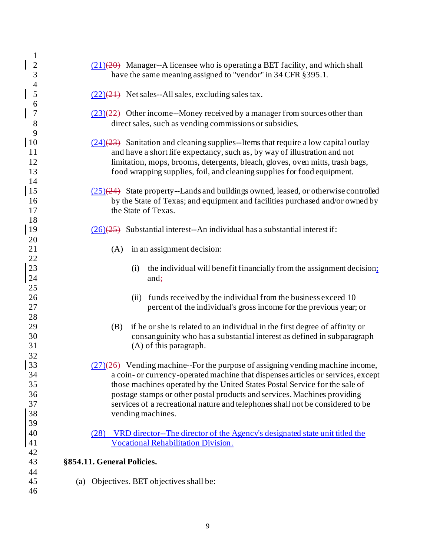| $\mathbf{1}$                                 |                                                                                                                                                                                                                                                                                                                                                                                                                                        |
|----------------------------------------------|----------------------------------------------------------------------------------------------------------------------------------------------------------------------------------------------------------------------------------------------------------------------------------------------------------------------------------------------------------------------------------------------------------------------------------------|
| $\overline{2}$<br>3                          | $(21)(20)$ Manager--A licensee who is operating a BET facility, and which shall<br>have the same meaning assigned to "vendor" in 34 CFR § 395.1.                                                                                                                                                                                                                                                                                       |
| $\frac{4}{5}$                                | $(22)(21)$ Net sales--All sales, excluding sales tax.                                                                                                                                                                                                                                                                                                                                                                                  |
| 6<br>$\overline{7}$<br>8                     | $(23)(22)$ Other income--Money received by a manager from sources other than<br>direct sales, such as vending commissions or subsidies.                                                                                                                                                                                                                                                                                                |
| 9<br>10<br><sup>11</sup><br>12<br>13         | $(24)(23)$ Sanitation and cleaning supplies --Items that require a low capital outlay<br>and have a short life expectancy, such as, by way of illustration and not<br>limitation, mops, brooms, detergents, bleach, gloves, oven mitts, trash bags,<br>food wrapping supplies, foil, and cleaning supplies for food equipment.                                                                                                         |
| 14<br>15<br>16<br>17                         | $(25)(24)$ State property--Lands and buildings owned, leased, or otherwise controlled<br>by the State of Texas; and equipment and facilities purchased and/or owned by<br>the State of Texas.                                                                                                                                                                                                                                          |
| 18<br>19<br>20                               | $(26)(25)$ Substantial interest--An individual has a substantial interest if:                                                                                                                                                                                                                                                                                                                                                          |
| 21                                           | in an assignment decision:<br>(A)                                                                                                                                                                                                                                                                                                                                                                                                      |
| 22<br>23<br>24                               | the individual will benefit financially from the assignment decision;<br>(i)<br>and $\div$                                                                                                                                                                                                                                                                                                                                             |
| 25<br>$26\,$<br>27<br>28                     | funds received by the individual from the business exceed 10<br>(ii)<br>percent of the individual's gross income for the previous year; or                                                                                                                                                                                                                                                                                             |
| 29<br>30<br>31                               | if he or she is related to an individual in the first degree of affinity or<br>(B)<br>consanguinity who has a substantial interest as defined in subparagraph<br>(A) of this paragraph.                                                                                                                                                                                                                                                |
| 32<br>33<br>34<br>35<br>36<br>37<br>38<br>39 | $(27)(26)$ Vending machine--For the purpose of assigning vending machine income,<br>a coin- or currency-operated machine that dispenses articles or services, except<br>those machines operated by the United States Postal Service for the sale of<br>postage stamps or other postal products and services. Machines providing<br>services of a recreational nature and telephones shall not be considered to be<br>vending machines. |
| 40<br>41<br>42                               | VRD director--The director of the Agency's designated state unit titled the<br>(28)<br><b>Vocational Rehabilitation Division.</b>                                                                                                                                                                                                                                                                                                      |
| 43                                           | §854.11. General Policies.                                                                                                                                                                                                                                                                                                                                                                                                             |
| 44<br>45<br>46                               | (a) Objectives. BET objectives shall be:                                                                                                                                                                                                                                                                                                                                                                                               |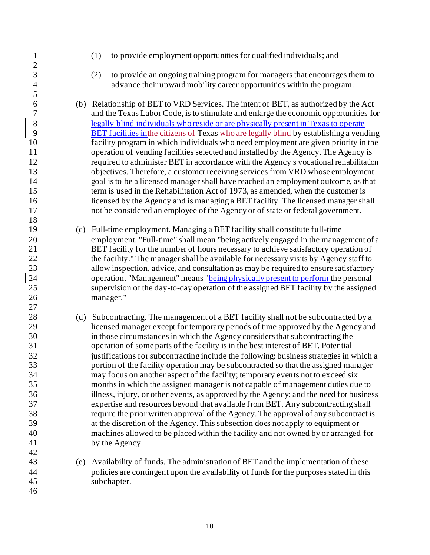(1) to provide employment opportunities for qualified individuals; and  $\frac{2}{3}$  (2) to provide an ongoing training program for managers that encourages them to advance their upward mobility career opportunities within the program. (b) Relationship of BET to VRD Services. The intent of BET, as authorized by the Act and the Texas Labor Code, is to stimulate and enlarge the economic opportunities for 8 legally blind individuals who reside or are physically present in Texas to operate<br>BET facilities in the citizens of Texas who are legally blind by establishing a vend BET facilities inthe citizens of Texas who are legally blind by establishing a vending facility program in which individuals who need employment are given priority in the operation of vending facilities selected and installed by the Agency. The Agency is required to administer BET in accordance with the Agency's vocational rehabilitation objectives. Therefore, a customer receiving services from VRD whose employment goal is to be a licensed manager shall have reached an employment outcome, as that term is used in the Rehabilitation Act of 1973, as amended, when the customer is licensed by the Agency and is managing a BET facility. The licensed manager shall not be considered an employee of the Agency or of state or federal government. (c) Full-time employment. Managing a BET facility shall constitute full-time employment. "Full-time" shall mean "being actively engaged in the management of a BET facility for the number of hours necessary to achieve satisfactory operation of 22 the facility." The manager shall be available for necessary visits by Agency staff to allow inspection, advice, and consultation as may be required to ensure satisfactory operation. "Management" means "being physically present to perform the personal supervision of the day-to-day operation of the assigned BET facility by the assigned manager." 28 (d) Subcontracting. The management of a BET facility shall not be subcontracted by a licensed manager except for temporary periods of time approved by the Agency and in those circumstances in which the Agency considers that subcontracting the operation of some parts of the facility is in the best interest of BET. Potential justifications for subcontracting include the following: business strategies in which a portion of the facility operation may be subcontracted so that the assigned manager may focus on another aspect of the facility; temporary events not to exceed six months in which the assigned manager is not capable of management duties due to illness, injury, or other events, as approved by the Agency; and the need for business expertise and resources beyond that available from BET. Any subcontracting shall require the prior written approval of the Agency. The approval of any subcontract is at the discretion of the Agency. This subsection does not apply to equipment or machines allowed to be placed within the facility and not owned by or arranged for 41 by the Agency. (e) Availability of funds. The administration of BET and the implementation of these policies are contingent upon the availability of funds for the purposes stated in this subchapter.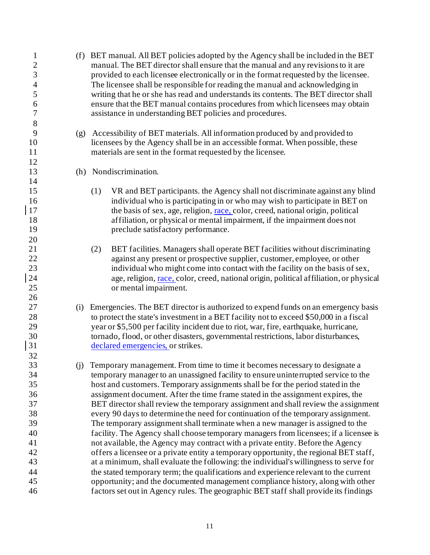(f) BET manual. All BET policies adopted by the Agency shall be included in the BET manual. The BET director shall ensure that the manual and any revisions to it are provided to each licensee electronically or in the format requested by the licensee. The licensee shall be responsible for reading the manual and acknowledging in writing that he or she has read and understands its contents. The BET director shall ensure that the BET manual contains procedures from which licensees may obtain assistance in understanding BET policies and procedures. (g) Accessibility of BET materials. All information produced by and provided to licensees by the Agency shall be in an accessible format. When possible, these materials are sent in the format requested by the licensee. (h) Nondiscrimination. (1) VR and BET participants. the Agency shall not discriminate against any blind individual who is participating in or who may wish to participate in BET on 17 the basis of sex, age, religion, race, color, creed, national origin, political affiliation, or physical or mental impairment, if the impairment does not **preclude satisfactory performance.**  (2) BET facilities. Managers shall operate BET facilities without discriminating against any present or prospective supplier, customer, employee, or other individual who might come into contact with the facility on the basis of sex, 24 age, religion, race, color, creed, national origin, political affiliation, or physical or mental impairment. (i) Emergencies. The BET director is authorized to expend funds on an emergency basis to protect the state's investment in a BET facility not to exceed \$50,000 in a fiscal year or \$5,500 per facility incident due to riot, war, fire, earthquake, hurricane, tornado, flood, or other disasters, governmental restrictions, labor disturbances, declared emergencies, or strikes. (j) Temporary management. From time to time it becomes necessary to designate a temporary manager to an unassigned facility to ensure uninterrupted service to the host and customers. Temporary assignments shall be for the period stated in the assignment document. After the time frame stated in the assignment expires, the BET director shall review the temporary assignment and shall review the assignment every 90 days to determine the need for continuation of the temporary assignment. The temporary assignment shall terminate when a new manager is assigned to the facility. The Agency shall choose temporary managers from licensees; if a licensee is not available, the Agency may contract with a private entity. Before the Agency offers a licensee or a private entity a temporary opportunity, the regional BET staff, at a minimum, shall evaluate the following: the individual's willingness to serve for the stated temporary term; the qualifications and experience relevant to the current opportunity; and the documented management compliance history, along with other factors set out in Agency rules. The geographic BET staff shall provide its findings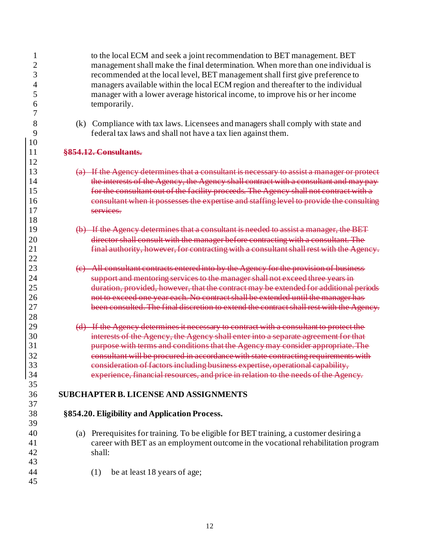| 1              |     | to the local ECM and seek a joint recommendation to BET management. BET                    |
|----------------|-----|--------------------------------------------------------------------------------------------|
| $\overline{c}$ |     | management shall make the final determination. When more than one individual is            |
| 3              |     | recommended at the local level, BET management shall first give preference to              |
| 4              |     | managers available within the local ECM region and thereafter to the individual            |
| 5              |     | manager with a lower average historical income, to improve his or her income               |
| 6              |     | temporarily.                                                                               |
| 7              |     |                                                                                            |
| 8              | (k) | Compliance with tax laws. Licensees and managers shall comply with state and               |
| 9              |     | federal tax laws and shall not have a tax lien against them.                               |
| 10             |     |                                                                                            |
| 11             |     | §854.12. Consultants.                                                                      |
| 12             |     |                                                                                            |
| 13             |     | (a) If the Agency determines that a consultant is necessary to assist a manager or protect |
| 14             |     | the interests of the Agency, the Agency shall contract with a consultant and may pay-      |
| 15             |     | for the consultant out of the facility proceeds. The Agency shall not contract with a      |
| 16             |     | consultant when it possesses the expertise and staffing level to provide the consulting    |
| 17             |     | services.                                                                                  |
| 18             |     |                                                                                            |
| 19             |     | (b) If the Agency determines that a consultant is needed to assist a manager, the BET      |
| 20             |     | director shall consult with the manager before contracting with a consultant. The          |
| 21             |     | final authority, however, for contracting with a consultant shall rest with the Agency.    |
| 22             |     |                                                                                            |
| 23             |     | (e) All consultant contracts entered into by the Agency for the provision of business      |
| 24             |     | support and mentoring services to the manager shall not exceed three years in              |
| 25             |     | duration, provided, however, that the contract may be extended for additional periods      |
| 26             |     | not to exceed one year each. No contract shall be extended until the manager has           |
| 27             |     | been consulted. The final discretion to extend the contract shall rest with the Agency.    |
| 28             |     |                                                                                            |
| 29             |     | (d) If the Agency determines it necessary to contract with a consultant to protect the     |
| 30             |     | interests of the Agency, the Agency shall enter into a separate agreement for that         |
| 31             |     | purpose with terms and conditions that the Agency may consider appropriate. The            |
| 32             |     | consultant will be procured in accordance with state contracting requirements with         |
| 33             |     | consideration of factors including business expertise, operational capability,             |
| 34             |     | experience, financial resources, and price in relation to the needs of the Agency.         |
| 35             |     |                                                                                            |
| 36             |     | <b>SUBCHAPTER B. LICENSE AND ASSIGNMENTS</b>                                               |
| 37             |     |                                                                                            |
| 38             |     | §854.20. Eligibility and Application Process.                                              |
| 39             |     |                                                                                            |
| 40             |     | (a) Prerequisites for training. To be eligible for BET training, a customer desiring a     |
| 41             |     | career with BET as an employment outcome in the vocational rehabilitation program          |
| 42             |     | shall:                                                                                     |
| 43             |     |                                                                                            |
| 44             |     | be at least 18 years of age;<br>(1)                                                        |
| 45             |     |                                                                                            |
|                |     |                                                                                            |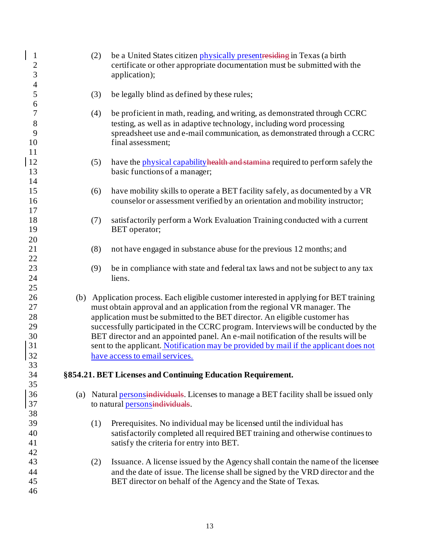| $\mathbf{1}$<br>$\overline{c}$<br>3          |     | (2) | be a United States citizen physically present residing in Texas (a birth<br>certificate or other appropriate documentation must be submitted with the<br>application);                                                                                                                                                                                                                                                                                                                                                                                 |
|----------------------------------------------|-----|-----|--------------------------------------------------------------------------------------------------------------------------------------------------------------------------------------------------------------------------------------------------------------------------------------------------------------------------------------------------------------------------------------------------------------------------------------------------------------------------------------------------------------------------------------------------------|
| $\overline{\mathcal{A}}$<br>5                |     | (3) | be legally blind as defined by these rules;                                                                                                                                                                                                                                                                                                                                                                                                                                                                                                            |
| 6<br>7<br>8<br>9<br>10<br>11                 |     | (4) | be proficient in math, reading, and writing, as demonstrated through CCRC<br>testing, as well as in adaptive technology, including word processing<br>spreadsheet use and e-mail communication, as demonstrated through a CCRC<br>final assessment;                                                                                                                                                                                                                                                                                                    |
| 12<br>13<br>14                               |     | (5) | have the physical capability health and stamina required to perform safely the<br>basic functions of a manager;                                                                                                                                                                                                                                                                                                                                                                                                                                        |
| 15<br>16<br>17                               |     | (6) | have mobility skills to operate a BET facility safely, as documented by a VR<br>counselor or assessment verified by an orientation and mobility instructor;                                                                                                                                                                                                                                                                                                                                                                                            |
| 18<br>19<br>20                               |     | (7) | satisfactorily perform a Work Evaluation Training conducted with a current<br>BET operator;                                                                                                                                                                                                                                                                                                                                                                                                                                                            |
| 21<br>22                                     |     | (8) | not have engaged in substance abuse for the previous 12 months; and                                                                                                                                                                                                                                                                                                                                                                                                                                                                                    |
| 23<br>24<br>25                               |     | (9) | be in compliance with state and federal tax laws and not be subject to any tax<br>liens.                                                                                                                                                                                                                                                                                                                                                                                                                                                               |
| 26<br>27<br>28<br>29<br>30<br>31<br>32<br>33 | (b) |     | Application process. Each eligible customer interested in applying for BET training<br>must obtain approval and an application from the regional VR manager. The<br>application must be submitted to the BET director. An eligible customer has<br>successfully participated in the CCRC program. Interviews will be conducted by the<br>BET director and an appointed panel. An e-mail notification of the results will be<br>sent to the applicant. Notification may be provided by mail if the applicant does not<br>have access to email services. |
| 34<br>35                                     |     |     | §854.21. BET Licenses and Continuing Education Requirement.                                                                                                                                                                                                                                                                                                                                                                                                                                                                                            |
| 36<br>37<br>38                               |     |     | (a) Natural personsinatividuals. Licenses to manage a BET facility shall be issued only<br>to natural personsindividuals.                                                                                                                                                                                                                                                                                                                                                                                                                              |
| 39<br>40<br>41<br>42                         |     | (1) | Prerequisites. No individual may be licensed until the individual has<br>satisfactorily completed all required BET training and otherwise continues to<br>satisfy the criteria for entry into BET.                                                                                                                                                                                                                                                                                                                                                     |
| 43<br>44<br>45<br>46                         |     | (2) | Issuance. A license issued by the Agency shall contain the name of the licensee<br>and the date of issue. The license shall be signed by the VRD director and the<br>BET director on behalf of the Agency and the State of Texas.                                                                                                                                                                                                                                                                                                                      |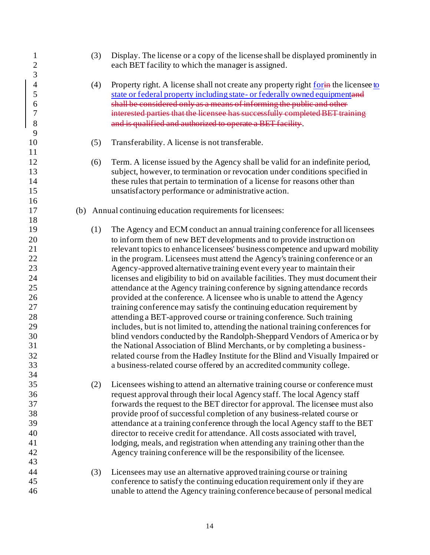| $\mathbf{1}$<br>$\overline{c}$<br>3 | (3) | Display. The license or a copy of the license shall be displayed prominently in<br>each BET facility to which the manager is assigned. |
|-------------------------------------|-----|----------------------------------------------------------------------------------------------------------------------------------------|
| $\overline{4}$                      | (4) | Property right. A license shall not create any property right form the licensee to                                                     |
| 5                                   |     | state or federal property including state- or federally owned equipmentand                                                             |
| 6                                   |     | shall be considered only as a means of informing the public and other                                                                  |
| 7                                   |     | interested parties that the licensee has successfully completed BET training                                                           |
| $8\,$                               |     | and is qualified and authorized to operate a BET facility.                                                                             |
| 9                                   |     |                                                                                                                                        |
| 10                                  | (5) | Transferability. A license is not transferable.                                                                                        |
| 11                                  |     |                                                                                                                                        |
| 12                                  | (6) | Term. A license issued by the Agency shall be valid for an indefinite period,                                                          |
| 13                                  |     | subject, however, to termination or revocation under conditions specified in                                                           |
| 14                                  |     | these rules that pertain to termination of a license for reasons other than                                                            |
| 15                                  |     | unsatisfactory performance or administrative action.                                                                                   |
| 16                                  |     |                                                                                                                                        |
| 17                                  |     | (b) Annual continuing education requirements for licensees:                                                                            |
| 18                                  |     |                                                                                                                                        |
| 19                                  | (1) | The Agency and ECM conduct an annual training conference for all licensees                                                             |
| 20                                  |     | to inform them of new BET developments and to provide instruction on                                                                   |
| 21                                  |     | relevant topics to enhance licensees' business competence and upward mobility                                                          |
| $22\,$                              |     | in the program. Licensees must attend the Agency's training conference or an                                                           |
| 23                                  |     | Agency-approved alternative training event every year to maintain their                                                                |
| 24                                  |     | licenses and eligibility to bid on available facilities. They must document their                                                      |
| 25                                  |     | attendance at the Agency training conference by signing attendance records                                                             |
| 26                                  |     | provided at the conference. A licensee who is unable to attend the Agency                                                              |
| 27                                  |     | training conference may satisfy the continuing education requirement by                                                                |
| 28                                  |     | attending a BET-approved course or training conference. Such training                                                                  |
| 29                                  |     | includes, but is not limited to, attending the national training conferences for                                                       |
| 30                                  |     | blind vendors conducted by the Randolph-Sheppard Vendors of America or by                                                              |
| 31                                  |     | the National Association of Blind Merchants, or by completing a business-                                                              |
| 32                                  |     | related course from the Hadley Institute for the Blind and Visually Impaired or                                                        |
| 33                                  |     | a business-related course offered by an accredited community college.                                                                  |
| 34                                  |     |                                                                                                                                        |
| 35                                  | (2) | Licensees wishing to attend an alternative training course or conference must                                                          |
|                                     |     |                                                                                                                                        |
| 36<br>37                            |     | request approval through their local Agency staff. The local Agency staff                                                              |
|                                     |     | forwards the request to the BET director for approval. The licensee must also                                                          |
| 38                                  |     | provide proof of successful completion of any business-related course or                                                               |
| 39                                  |     | attendance at a training conference through the local Agency staff to the BET                                                          |
| 40                                  |     | director to receive credit for attendance. All costs associated with travel,                                                           |
| 41                                  |     | lodging, meals, and registration when attending any training other than the                                                            |
| 42                                  |     | Agency training conference will be the responsibility of the licensee.                                                                 |
| 43                                  |     |                                                                                                                                        |
| 44                                  | (3) | Licensees may use an alternative approved training course or training                                                                  |
| 45                                  |     | conference to satisfy the continuing education requirement only if they are                                                            |
| 46                                  |     | unable to attend the Agency training conference because of personal medical                                                            |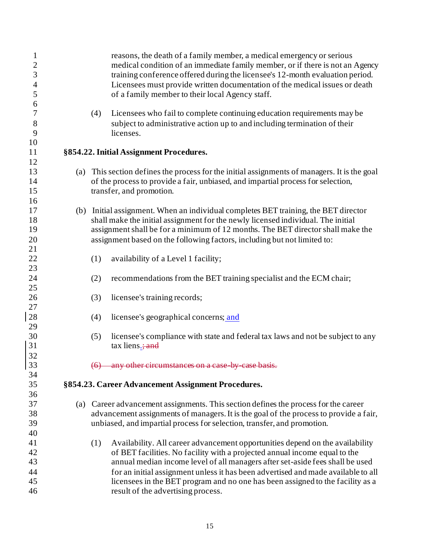| $\mathbf{1}$<br>$\overline{c}$<br>3<br>$\overline{4}$<br>5<br>6 |     | reasons, the death of a family member, a medical emergency or serious<br>medical condition of an immediate family member, or if there is not an Agency<br>training conference offered during the licensee's 12-month evaluation period.<br>Licensees must provide written documentation of the medical issues or death<br>of a family member to their local Agency staff. |
|-----------------------------------------------------------------|-----|---------------------------------------------------------------------------------------------------------------------------------------------------------------------------------------------------------------------------------------------------------------------------------------------------------------------------------------------------------------------------|
| 7<br>8<br>9<br>10                                               | (4) | Licensees who fail to complete continuing education requirements may be<br>subject to administrative action up to and including termination of their<br>licenses.                                                                                                                                                                                                         |
| 11                                                              |     | §854.22. Initial Assignment Procedures.                                                                                                                                                                                                                                                                                                                                   |
| 12                                                              |     |                                                                                                                                                                                                                                                                                                                                                                           |
| 13<br>14<br>15                                                  |     | (a) This section defines the process for the initial assignments of managers. It is the goal<br>of the process to provide a fair, unbiased, and impartial process for selection,<br>transfer, and promotion.                                                                                                                                                              |
| 16                                                              |     |                                                                                                                                                                                                                                                                                                                                                                           |
| 17<br>18                                                        |     | (b) Initial assignment. When an individual completes BET training, the BET director<br>shall make the initial assignment for the newly licensed individual. The initial                                                                                                                                                                                                   |
| 19                                                              |     | assignment shall be for a minimum of 12 months. The BET director shall make the                                                                                                                                                                                                                                                                                           |
| 20<br>21                                                        |     | assignment based on the following factors, including but not limited to:                                                                                                                                                                                                                                                                                                  |
| 22<br>23                                                        | (1) | availability of a Level 1 facility;                                                                                                                                                                                                                                                                                                                                       |
| 24<br>25                                                        | (2) | recommendations from the BET training specialist and the ECM chair;                                                                                                                                                                                                                                                                                                       |
| 26<br>27                                                        | (3) | licensee's training records;                                                                                                                                                                                                                                                                                                                                              |
| 28<br>29                                                        | (4) | licensee's geographical concerns; and                                                                                                                                                                                                                                                                                                                                     |
| 30<br>31<br>32                                                  | (5) | licensee's compliance with state and federal tax laws and not be subject to any<br>tax liens.; and                                                                                                                                                                                                                                                                        |
| 33<br>34                                                        |     | (6) any other circumstances on a case by case basis.                                                                                                                                                                                                                                                                                                                      |
| 35                                                              |     | §854.23. Career Advancement Assignment Procedures.                                                                                                                                                                                                                                                                                                                        |
| 36<br>37                                                        |     |                                                                                                                                                                                                                                                                                                                                                                           |
|                                                                 |     | (a) Career advancement assignments. This section defines the process for the career                                                                                                                                                                                                                                                                                       |
| 38<br>39                                                        |     | advancement assignments of managers. It is the goal of the process to provide a fair,<br>unbiased, and impartial process for selection, transfer, and promotion.                                                                                                                                                                                                          |
| 40                                                              |     |                                                                                                                                                                                                                                                                                                                                                                           |
| 41                                                              | (1) | Availability. All career advancement opportunities depend on the availability                                                                                                                                                                                                                                                                                             |
| 42                                                              |     | of BET facilities. No facility with a projected annual income equal to the                                                                                                                                                                                                                                                                                                |
| 43                                                              |     | annual median income level of all managers after set-aside fees shall be used                                                                                                                                                                                                                                                                                             |
| 44                                                              |     | for an initial assignment unless it has been advertised and made available to all                                                                                                                                                                                                                                                                                         |
| 45                                                              |     | licensees in the BET program and no one has been assigned to the facility as a                                                                                                                                                                                                                                                                                            |
| 46                                                              |     | result of the advertising process.                                                                                                                                                                                                                                                                                                                                        |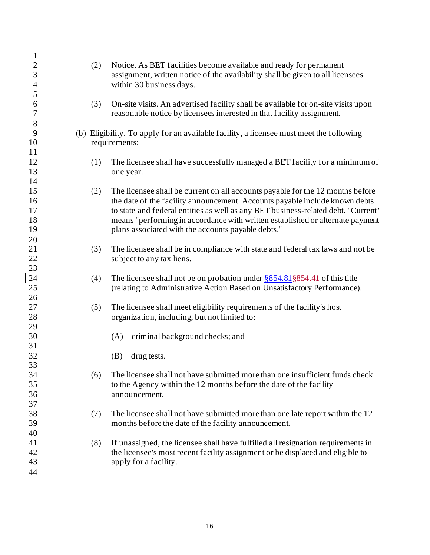| $\mathbf{1}$   |     |                                                                                         |
|----------------|-----|-----------------------------------------------------------------------------------------|
| $\overline{c}$ | (2) | Notice. As BET facilities become available and ready for permanent                      |
| 3              |     | assignment, written notice of the availability shall be given to all licensees          |
| $\overline{4}$ |     | within 30 business days.                                                                |
| 5              |     |                                                                                         |
| 6              | (3) | On-site visits. An advertised facility shall be available for on-site visits upon       |
| $\tau$         |     | reasonable notice by licensees interested in that facility assignment.                  |
| 8              |     |                                                                                         |
| 9              |     | (b) Eligibility. To apply for an available facility, a licensee must meet the following |
| 10             |     | requirements:                                                                           |
| 11             |     |                                                                                         |
| 12             | (1) | The licensee shall have successfully managed a BET facility for a minimum of            |
| 13             |     |                                                                                         |
| 14             |     | one year.                                                                               |
| 15             |     | The licensee shall be current on all accounts payable for the 12 months before          |
|                | (2) |                                                                                         |
| 16             |     | the date of the facility announcement. Accounts payable include known debts             |
| 17             |     | to state and federal entities as well as any BET business-related debt. "Current"       |
| 18             |     | means "performing in accordance with written established or alternate payment           |
| 19             |     | plans associated with the accounts payable debts."                                      |
| 20             |     |                                                                                         |
| 21             | (3) | The licensee shall be in compliance with state and federal tax laws and not be          |
| 22             |     | subject to any tax liens.                                                               |
| 23             |     |                                                                                         |
| 24             | (4) | The licensee shall not be on probation under $\S 854.81 \S 854.44$ of this title        |
| 25             |     | (relating to Administrative Action Based on Unsatisfactory Performance).                |
| 26             |     |                                                                                         |
| 27             | (5) | The licensee shall meet eligibility requirements of the facility's host                 |
| 28             |     | organization, including, but not limited to:                                            |
| 29             |     |                                                                                         |
| 30             |     | criminal background checks; and<br>(A)                                                  |
| 31             |     |                                                                                         |
| 32             |     | drug tests.<br>(B)                                                                      |
| 33             |     |                                                                                         |
| 34             | (6) | The licensee shall not have submitted more than one insufficient funds check            |
| 35             |     | to the Agency within the 12 months before the date of the facility                      |
| 36             |     | announcement.                                                                           |
| 37             |     |                                                                                         |
| 38             | (7) | The licensee shall not have submitted more than one late report within the 12           |
| 39             |     | months before the date of the facility announcement.                                    |
| 40             |     |                                                                                         |
| 41             | (8) | If unassigned, the licensee shall have fulfilled all resignation requirements in        |
| 42             |     | the licensee's most recent facility assignment or be displaced and eligible to          |
| 43             |     | apply for a facility.                                                                   |
| 44             |     |                                                                                         |
|                |     |                                                                                         |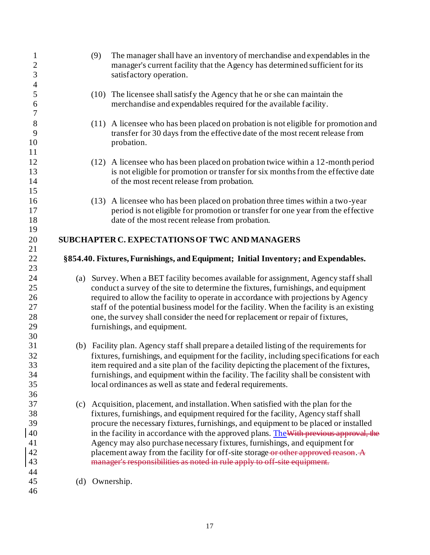| $\mathbf{1}$<br>$\overline{c}$<br>3 |     | The manager shall have an inventory of merchandise and expendables in the<br>(9)<br>manager's current facility that the Agency has determined sufficient for its<br>satisfactory operation.                           |
|-------------------------------------|-----|-----------------------------------------------------------------------------------------------------------------------------------------------------------------------------------------------------------------------|
| $\overline{\mathcal{A}}$<br>5<br>6  |     | The licensee shall satisfy the Agency that he or she can maintain the<br>(10)<br>merchandise and expendables required for the available facility.                                                                     |
| $\boldsymbol{7}$<br>8               |     | A licensee who has been placed on probation is not eligible for promotion and<br>(11)                                                                                                                                 |
| 9<br>10<br>11                       |     | transfer for 30 days from the effective date of the most recent release from<br>probation.                                                                                                                            |
| 12<br>13                            |     | (12) A licensee who has been placed on probation twice within a 12-month period<br>is not eligible for promotion or transfer for six months from the effective date                                                   |
| 14<br>15                            |     | of the most recent release from probation.                                                                                                                                                                            |
| 16<br>17<br>18                      |     | (13) A licensee who has been placed on probation three times within a two-year<br>period is not eligible for promotion or transfer for one year from the effective<br>date of the most recent release from probation. |
| 19<br>20                            |     | SUBCHAPTER C. EXPECTATIONS OF TWC AND MANAGERS                                                                                                                                                                        |
| 21                                  |     |                                                                                                                                                                                                                       |
| 22                                  |     | §854.40. Fixtures, Furnishings, and Equipment; Initial Inventory; and Expendables.                                                                                                                                    |
| 23                                  |     |                                                                                                                                                                                                                       |
| 24                                  |     | (a) Survey. When a BET facility becomes available for assignment, Agency staff shall                                                                                                                                  |
| 25                                  |     | conduct a survey of the site to determine the fixtures, furnishings, and equipment                                                                                                                                    |
| 26                                  |     | required to allow the facility to operate in accordance with projections by Agency                                                                                                                                    |
| 27                                  |     | staff of the potential business model for the facility. When the facility is an existing                                                                                                                              |
| 28                                  |     | one, the survey shall consider the need for replacement or repair of fixtures,                                                                                                                                        |
| 29                                  |     | furnishings, and equipment.                                                                                                                                                                                           |
| 30<br>31                            |     | (b) Facility plan. Agency staff shall prepare a detailed listing of the requirements for                                                                                                                              |
| 32                                  |     | fixtures, furnishings, and equipment for the facility, including specifications for each                                                                                                                              |
| 33                                  |     | item required and a site plan of the facility depicting the placement of the fixtures,                                                                                                                                |
| 34                                  |     | furnishings, and equipment within the facility. The facility shall be consistent with                                                                                                                                 |
| 35                                  |     | local ordinances as well as state and federal requirements.                                                                                                                                                           |
| 36                                  |     |                                                                                                                                                                                                                       |
| 37                                  | (c) | Acquisition, placement, and installation. When satisfied with the plan for the                                                                                                                                        |
| 38                                  |     | fixtures, furnishings, and equipment required for the facility, Agency staff shall                                                                                                                                    |
| 39                                  |     | procure the necessary fixtures, furnishings, and equipment to be placed or installed                                                                                                                                  |
| 40                                  |     | in the facility in accordance with the approved plans. The With previous approval, the                                                                                                                                |
| 41                                  |     | Agency may also purchase necessary fixtures, furnishings, and equipment for                                                                                                                                           |
| 42                                  |     | placement away from the facility for off-site storage or other approved reason. A                                                                                                                                     |
| 43                                  |     | manager's responsibilities as noted in rule apply to off site equipment.                                                                                                                                              |
| 44                                  |     |                                                                                                                                                                                                                       |
| 45                                  | (d) | Ownership.                                                                                                                                                                                                            |
| 46                                  |     |                                                                                                                                                                                                                       |
|                                     |     |                                                                                                                                                                                                                       |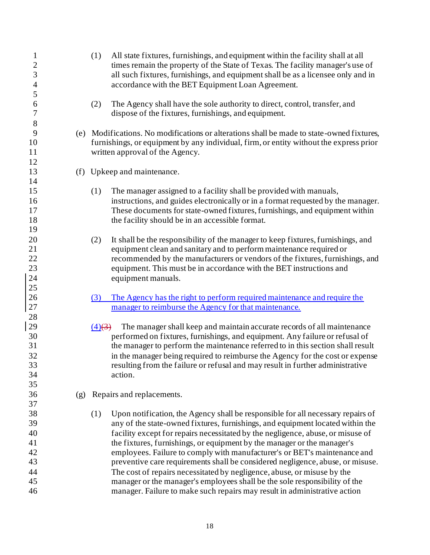| $\mathbf{1}$<br>$\overline{c}$<br>3<br>$\overline{4}$ |     | All state fixtures, furnishings, and equipment within the facility shall at all<br>(1)<br>times remain the property of the State of Texas. The facility manager's use of<br>all such fixtures, furnishings, and equipment shall be as a licensee only and in<br>accordance with the BET Equipment Loan Agreement.                                                                                                                                                                                                                                                                |
|-------------------------------------------------------|-----|----------------------------------------------------------------------------------------------------------------------------------------------------------------------------------------------------------------------------------------------------------------------------------------------------------------------------------------------------------------------------------------------------------------------------------------------------------------------------------------------------------------------------------------------------------------------------------|
| 5<br>6<br>7                                           |     | The Agency shall have the sole authority to direct, control, transfer, and<br>(2)<br>dispose of the fixtures, furnishings, and equipment.                                                                                                                                                                                                                                                                                                                                                                                                                                        |
| 8<br>9<br>10<br>11                                    |     | (e) Modifications. No modifications or alterations shall be made to state-owned fixtures,<br>furnishings, or equipment by any individual, firm, or entity without the express prior<br>written approval of the Agency.                                                                                                                                                                                                                                                                                                                                                           |
| 12<br>13<br>14                                        |     | (f) Upkeep and maintenance.                                                                                                                                                                                                                                                                                                                                                                                                                                                                                                                                                      |
| 15<br>16<br>17<br>18<br>19                            |     | The manager assigned to a facility shall be provided with manuals,<br>(1)<br>instructions, and guides electronically or in a format requested by the manager.<br>These documents for state-owned fixtures, furnishings, and equipment within<br>the facility should be in an accessible format.                                                                                                                                                                                                                                                                                  |
| 20<br>21<br>22<br>23<br>24<br>25                      |     | It shall be the responsibility of the manager to keep fixtures, furnishings, and<br>(2)<br>equipment clean and sanitary and to perform maintenance required or<br>recommended by the manufacturers or vendors of the fixtures, furnishings, and<br>equipment. This must be in accordance with the BET instructions and<br>equipment manuals.                                                                                                                                                                                                                                     |
| 26<br>$27\,$                                          |     | The Agency has the right to perform required maintenance and require the<br>(3)<br>manager to reimburse the Agency for that maintenance.                                                                                                                                                                                                                                                                                                                                                                                                                                         |
| 28<br>29<br>30<br>31<br>32<br>33<br>34<br>35          |     | The manager shall keep and maintain accurate records of all maintenance<br>$(4)$ $(3)$<br>performed on fixtures, furnishings, and equipment. Any failure or refusal of<br>the manager to perform the maintenance referred to in this section shall result<br>in the manager being required to reimburse the Agency for the cost or expense<br>resulting from the failure or refusal and may result in further administrative<br>action.                                                                                                                                          |
| 36<br>37                                              | (g) | Repairs and replacements.                                                                                                                                                                                                                                                                                                                                                                                                                                                                                                                                                        |
| 38<br>39<br>40<br>41<br>42<br>43<br>44                |     | Upon notification, the Agency shall be responsible for all necessary repairs of<br>(1)<br>any of the state-owned fixtures, furnishings, and equipment located within the<br>facility except for repairs necessitated by the negligence, abuse, or misuse of<br>the fixtures, furnishings, or equipment by the manager or the manager's<br>employees. Failure to comply with manufacturer's or BET's maintenance and<br>preventive care requirements shall be considered negligence, abuse, or misuse.<br>The cost of repairs necessitated by negligence, abuse, or misuse by the |
| 45<br>46                                              |     | manager or the manager's employees shall be the sole responsibility of the<br>manager. Failure to make such repairs may result in administrative action                                                                                                                                                                                                                                                                                                                                                                                                                          |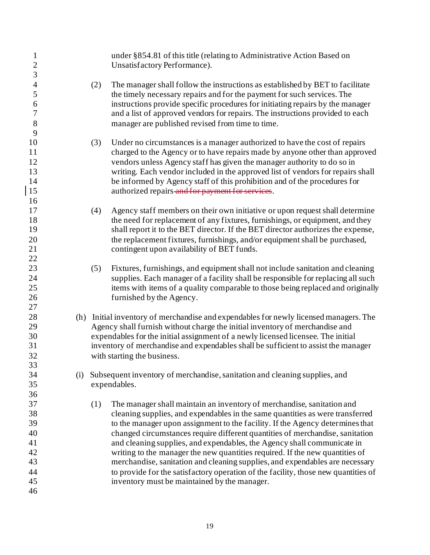| $\mathbf{1}$<br>$\overline{c}$<br>3 |     | under §854.81 of this title (relating to Administrative Action Based on<br>Unsatisfactory Performance).                                                        |
|-------------------------------------|-----|----------------------------------------------------------------------------------------------------------------------------------------------------------------|
| $\overline{4}$                      |     | (2)<br>The manager shall follow the instructions as established by BET to facilitate                                                                           |
| 5                                   |     | the timely necessary repairs and for the payment for such services. The                                                                                        |
| 6                                   |     | instructions provide specific procedures for initiating repairs by the manager                                                                                 |
| $\tau$<br>8                         |     | and a list of approved vendors for repairs. The instructions provided to each<br>manager are published revised from time to time.                              |
| 9                                   |     |                                                                                                                                                                |
| 10                                  |     | (3)<br>Under no circumstances is a manager authorized to have the cost of repairs                                                                              |
| 11                                  |     | charged to the Agency or to have repairs made by anyone other than approved                                                                                    |
| 12                                  |     | vendors unless Agency staff has given the manager authority to do so in                                                                                        |
| 13                                  |     | writing. Each vendor included in the approved list of vendors for repairs shall                                                                                |
| 14                                  |     | be informed by Agency staff of this prohibition and of the procedures for                                                                                      |
| 15                                  |     | authorized repairs and for payment for services.                                                                                                               |
| 16                                  |     |                                                                                                                                                                |
| 17                                  |     | Agency staff members on their own initiative or upon request shall determine<br>(4)                                                                            |
| 18                                  |     | the need for replacement of any fixtures, furnishings, or equipment, and they                                                                                  |
| 19                                  |     | shall report it to the BET director. If the BET director authorizes the expense,                                                                               |
| 20<br>21                            |     | the replacement fixtures, furnishings, and/or equipment shall be purchased,                                                                                    |
| 22                                  |     | contingent upon availability of BET funds.                                                                                                                     |
| 23                                  |     | (5)<br>Fixtures, furnishings, and equipment shall not include sanitation and cleaning                                                                          |
| 24                                  |     | supplies. Each manager of a facility shall be responsible for replacing all such                                                                               |
| 25                                  |     | items with items of a quality comparable to those being replaced and originally                                                                                |
| 26                                  |     | furnished by the Agency.                                                                                                                                       |
| 27                                  |     |                                                                                                                                                                |
| 28                                  |     | (h) Initial inventory of merchandise and expendables for newly licensed managers. The                                                                          |
| 29                                  |     | Agency shall furnish without charge the initial inventory of merchandise and                                                                                   |
| 30                                  |     | expendables for the initial assignment of a newly licensed licensee. The initial                                                                               |
| 31                                  |     | inventory of merchandise and expendables shall be sufficient to assist the manager                                                                             |
| 32                                  |     | with starting the business.                                                                                                                                    |
| 33                                  |     |                                                                                                                                                                |
| 34                                  | (i) | Subsequent inventory of merchandise, sanitation and cleaning supplies, and                                                                                     |
| 35                                  |     | expendables.                                                                                                                                                   |
| 36                                  |     |                                                                                                                                                                |
| 37<br>38                            |     | The manager shall maintain an inventory of merchandise, sanitation and<br>(1)<br>cleaning supplies, and expendables in the same quantities as were transferred |
| 39                                  |     | to the manager upon assignment to the facility. If the Agency determines that                                                                                  |
| 40                                  |     | changed circumstances require different quantities of merchandise, sanitation                                                                                  |
| 41                                  |     | and cleaning supplies, and expendables, the Agency shall communicate in                                                                                        |
| 42                                  |     | writing to the manager the new quantities required. If the new quantities of                                                                                   |
| 43                                  |     | merchandise, sanitation and cleaning supplies, and expendables are necessary                                                                                   |
| 44                                  |     | to provide for the satisfactory operation of the facility, those new quantities of                                                                             |
| 45                                  |     | inventory must be maintained by the manager.                                                                                                                   |
| 46                                  |     |                                                                                                                                                                |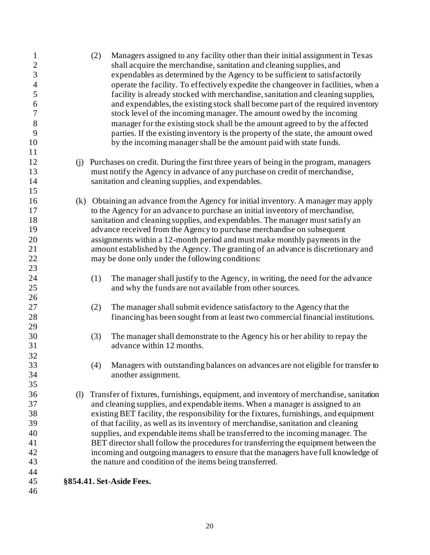| $\mathbf{1}$<br>$\overline{c}$ | Managers assigned to any facility other than their initial assignment in Texas<br>(2)<br>shall acquire the merchandise, sanitation and cleaning supplies, and |
|--------------------------------|---------------------------------------------------------------------------------------------------------------------------------------------------------------|
| $\overline{3}$                 | expendables as determined by the Agency to be sufficient to satisfactorily                                                                                    |
| $\overline{4}$                 | operate the facility. To effectively expedite the changeover in facilities, when a                                                                            |
| 5                              | facility is already stocked with merchandise, sanitation and cleaning supplies,                                                                               |
| 6                              | and expendables, the existing stock shall become part of the required inventory                                                                               |
| $\boldsymbol{7}$               | stock level of the incoming manager. The amount owed by the incoming                                                                                          |
| 8                              | manager for the existing stock shall be the amount agreed to by the affected                                                                                  |
| 9                              | parties. If the existing inventory is the property of the state, the amount owed                                                                              |
| 10                             | by the incoming manager shall be the amount paid with state funds.                                                                                            |
| 11                             |                                                                                                                                                               |
| 12                             | (j) Purchases on credit. During the first three years of being in the program, managers                                                                       |
| 13                             | must notify the Agency in advance of any purchase on credit of merchandise,                                                                                   |
| 14                             |                                                                                                                                                               |
| 15                             | sanitation and cleaning supplies, and expendables.                                                                                                            |
|                                |                                                                                                                                                               |
| 16<br>17                       | (k) Obtaining an advance from the Agency for initial inventory. A manager may apply                                                                           |
|                                | to the Agency for an advance to purchase an initial inventory of merchandise,                                                                                 |
| 18                             | sanitation and cleaning supplies, and expendables. The manager must satisfy an                                                                                |
| 19                             | advance received from the Agency to purchase merchandise on subsequent                                                                                        |
| 20                             | assignments within a 12-month period and must make monthly payments in the                                                                                    |
| 21                             | amount established by the Agency. The granting of an advance is discretionary and                                                                             |
| 22                             | may be done only under the following conditions:                                                                                                              |
| 23                             |                                                                                                                                                               |
| 24                             | The manager shall justify to the Agency, in writing, the need for the advance<br>(1)                                                                          |
| 25                             | and why the funds are not available from other sources.                                                                                                       |
| 26                             |                                                                                                                                                               |
| 27                             | (2)<br>The manager shall submit evidence satisfactory to the Agency that the                                                                                  |
| 28                             | financing has been sought from at least two commercial financial institutions.                                                                                |
| 29                             |                                                                                                                                                               |
| 30<br>31                       | The manager shall demonstrate to the Agency his or her ability to repay the<br>(3)                                                                            |
|                                | advance within 12 months.                                                                                                                                     |
| 32                             |                                                                                                                                                               |
| 33                             | (4) Managers with outstanding balances on advances are not eligible for transfer to                                                                           |
| 34<br>35                       | another assignment.                                                                                                                                           |
|                                |                                                                                                                                                               |
| 36                             | (1) Transfer of fixtures, furnishings, equipment, and inventory of merchandise, sanitation                                                                    |
| 37                             | and cleaning supplies, and expendable items. When a manager is assigned to an                                                                                 |
| 38<br>39                       | existing BET facility, the responsibility for the fixtures, furnishings, and equipment                                                                        |
|                                | of that facility, as well as its inventory of merchandise, sanitation and cleaning                                                                            |
| 40                             | supplies, and expendable items shall be transferred to the incoming manager. The                                                                              |
| 41                             | BET director shall follow the procedures for transferring the equipment between the                                                                           |
| 42                             | incoming and outgoing managers to ensure that the managers have full knowledge of                                                                             |
| 43                             | the nature and condition of the items being transferred.                                                                                                      |
| 44                             |                                                                                                                                                               |
| 45<br>46                       | §854.41. Set-Aside Fees.                                                                                                                                      |
|                                |                                                                                                                                                               |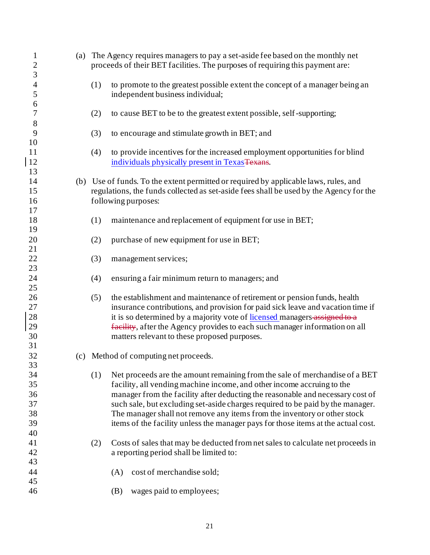| $\mathbf{1}$<br>$\overline{c}$<br>3    | (a) The Agency requires managers to pay a set-aside fee based on the monthly net<br>proceeds of their BET facilities. The purposes of requiring this payment are:                                                                                                                                                                                                                                                                                                                                 |
|----------------------------------------|---------------------------------------------------------------------------------------------------------------------------------------------------------------------------------------------------------------------------------------------------------------------------------------------------------------------------------------------------------------------------------------------------------------------------------------------------------------------------------------------------|
| $\overline{4}$<br>5<br>6               | (1)<br>to promote to the greatest possible extent the concept of a manager being an<br>independent business individual;                                                                                                                                                                                                                                                                                                                                                                           |
| $\overline{7}$<br>8                    | (2)<br>to cause BET to be to the greatest extent possible, self-supporting;                                                                                                                                                                                                                                                                                                                                                                                                                       |
| 9<br>10                                | (3)<br>to encourage and stimulate growth in BET; and                                                                                                                                                                                                                                                                                                                                                                                                                                              |
| 11<br>12<br>13                         | to provide incentives for the increased employment opportunities for blind<br>(4)<br>individuals physically present in Texas Texans.                                                                                                                                                                                                                                                                                                                                                              |
| 14<br>15<br>16                         | (b) Use of funds. To the extent permitted or required by applicable laws, rules, and<br>regulations, the funds collected as set-aside fees shall be used by the Agency for the<br>following purposes:                                                                                                                                                                                                                                                                                             |
| 17<br>18<br>19                         | maintenance and replacement of equipment for use in BET;<br>(1)                                                                                                                                                                                                                                                                                                                                                                                                                                   |
| 20<br>21                               | purchase of new equipment for use in BET;<br>(2)                                                                                                                                                                                                                                                                                                                                                                                                                                                  |
| $22\,$<br>23                           | (3)<br>management services;                                                                                                                                                                                                                                                                                                                                                                                                                                                                       |
| 24<br>25                               | ensuring a fair minimum return to managers; and<br>(4)                                                                                                                                                                                                                                                                                                                                                                                                                                            |
| $26\,$<br>27<br>28<br>29<br>30<br>31   | (5)<br>the establishment and maintenance of retirement or pension funds, health<br>insurance contributions, and provision for paid sick leave and vacation time if<br>it is so determined by a majority vote of licensed managers-assigned to a<br>facility, after the Agency provides to each such manager information on all<br>matters relevant to these proposed purposes.                                                                                                                    |
| 32<br>33                               | (c) Method of computing net proceeds.                                                                                                                                                                                                                                                                                                                                                                                                                                                             |
| 34<br>35<br>36<br>37<br>38<br>39<br>40 | Net proceeds are the amount remaining from the sale of merchandise of a BET<br>(1)<br>facility, all vending machine income, and other income accruing to the<br>manager from the facility after deducting the reasonable and necessary cost of<br>such sale, but excluding set-aside charges required to be paid by the manager.<br>The manager shall not remove any items from the inventory or other stock<br>items of the facility unless the manager pays for those items at the actual cost. |
| 41<br>42<br>43                         | (2)<br>Costs of sales that may be deducted from net sales to calculate net proceeds in<br>a reporting period shall be limited to:                                                                                                                                                                                                                                                                                                                                                                 |
| 44<br>45                               | cost of merchandise sold;<br>(A)                                                                                                                                                                                                                                                                                                                                                                                                                                                                  |
| 46                                     | (B)<br>wages paid to employees;                                                                                                                                                                                                                                                                                                                                                                                                                                                                   |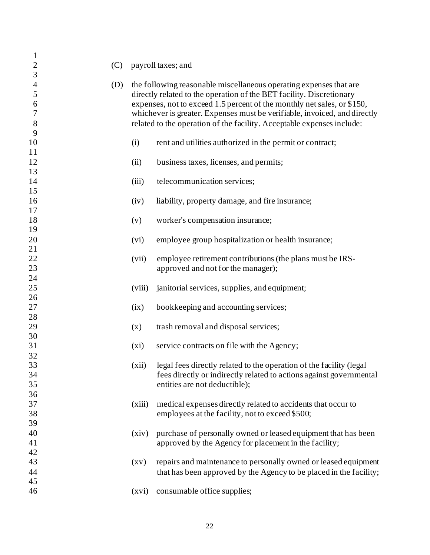| $\mathbf{1}$<br>$\mathbf{2}$      | (C) |                    | payroll taxes; and                                                                                                                                                                                                                                                                                                                                                           |
|-----------------------------------|-----|--------------------|------------------------------------------------------------------------------------------------------------------------------------------------------------------------------------------------------------------------------------------------------------------------------------------------------------------------------------------------------------------------------|
| 3                                 |     |                    |                                                                                                                                                                                                                                                                                                                                                                              |
| 4<br>$\mathfrak s$<br>6<br>7<br>8 | (D) |                    | the following reasonable miscellaneous operating expenses that are<br>directly related to the operation of the BET facility. Discretionary<br>expenses, not to exceed 1.5 percent of the monthly net sales, or \$150,<br>whichever is greater. Expenses must be verifiable, invoiced, and directly<br>related to the operation of the facility. Acceptable expenses include: |
| 9<br>10                           |     | (i)                | rent and utilities authorized in the permit or contract;                                                                                                                                                                                                                                                                                                                     |
| 11<br>12                          |     | (ii)               | business taxes, licenses, and permits;                                                                                                                                                                                                                                                                                                                                       |
| 13<br>14                          |     | (iii)              | telecommunication services;                                                                                                                                                                                                                                                                                                                                                  |
| 15<br>16                          |     | (iv)               | liability, property damage, and fire insurance;                                                                                                                                                                                                                                                                                                                              |
| 17<br>18                          |     | (v)                | worker's compensation insurance;                                                                                                                                                                                                                                                                                                                                             |
| 19<br>20                          |     | (vi)               | employee group hospitalization or health insurance;                                                                                                                                                                                                                                                                                                                          |
| 21<br>$\overline{22}$<br>23       |     | (vii)              | employee retirement contributions (the plans must be IRS-<br>approved and not for the manager);                                                                                                                                                                                                                                                                              |
| 24<br>25                          |     | (viii)             | janitorial services, supplies, and equipment;                                                                                                                                                                                                                                                                                                                                |
| 26<br>27                          |     | (ix)               | bookkeeping and accounting services;                                                                                                                                                                                                                                                                                                                                         |
| 28<br>29                          |     | (x)                | trash removal and disposal services;                                                                                                                                                                                                                                                                                                                                         |
| 30<br>31                          |     | $(x_i)$            | service contracts on file with the Agency;                                                                                                                                                                                                                                                                                                                                   |
| 32<br>33                          |     | (xii)              | legal fees directly related to the operation of the facility (legal                                                                                                                                                                                                                                                                                                          |
| 34<br>35                          |     |                    | fees directly or indirectly related to actions against governmental<br>entities are not deductible);                                                                                                                                                                                                                                                                         |
| 36<br>37<br>38                    |     | (xiii)             | medical expenses directly related to accidents that occur to<br>employees at the facility, not to exceed \$500;                                                                                                                                                                                                                                                              |
| 39<br>40<br>41                    |     | (xiv)              | purchase of personally owned or leased equipment that has been<br>approved by the Agency for placement in the facility;                                                                                                                                                                                                                                                      |
| 42<br>43<br>44                    |     | $\left( xy\right)$ | repairs and maintenance to personally owned or leased equipment<br>that has been approved by the Agency to be placed in the facility;                                                                                                                                                                                                                                        |
| 45<br>46                          |     | (xvi)              | consumable office supplies;                                                                                                                                                                                                                                                                                                                                                  |
|                                   |     |                    |                                                                                                                                                                                                                                                                                                                                                                              |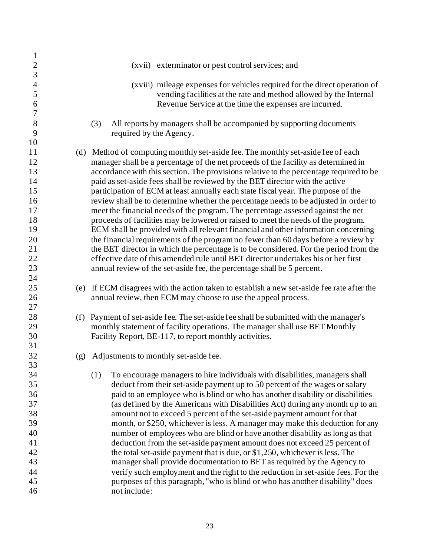| $\mathbf{1}$     |     |                                                                                            |
|------------------|-----|--------------------------------------------------------------------------------------------|
| $\overline{2}$   |     | (xvii) exterminator or pest control services; and                                          |
| $\overline{3}$   |     |                                                                                            |
| $\overline{4}$   |     | (xviii) mileage expenses for vehicles required for the direct operation of                 |
| 5                |     | vending facilities at the rate and method allowed by the Internal                          |
| 6                |     | Revenue Service at the time the expenses are incurred.                                     |
| $\boldsymbol{7}$ |     |                                                                                            |
| 8                |     | All reports by managers shall be accompanied by supporting documents<br>(3)                |
| 9                |     | required by the Agency.                                                                    |
| 10               |     |                                                                                            |
| 11               |     | (d) Method of computing monthly set-aside fee. The monthly set-aside fee of each           |
| 12               |     | manager shall be a percentage of the net proceeds of the facility as determined in         |
| 13               |     | accordance with this section. The provisions relative to the percentage required to be     |
| 14               |     | paid as set-aside fees shall be reviewed by the BET director with the active               |
| 15               |     | participation of ECM at least annually each state fiscal year. The purpose of the          |
| 16               |     | review shall be to determine whether the percentage needs to be adjusted in order to       |
| 17               |     | meet the financial needs of the program. The percentage assessed against the net           |
|                  |     |                                                                                            |
| 18               |     | proceeds of facilities may be lowered or raised to meet the needs of the program.          |
| 19               |     | ECM shall be provided with all relevant financial and other information concerning         |
| 20               |     | the financial requirements of the program no fewer than 60 days before a review by         |
| 21               |     | the BET director in which the percentage is to be considered. For the period from the      |
| 22               |     | effective date of this amended rule until BET director undertakes his or her first         |
| 23               |     | annual review of the set-aside fee, the percentage shall be 5 percent.                     |
| 24               |     |                                                                                            |
| 25               |     | (e) If ECM disagrees with the action taken to establish a new set-aside fee rate after the |
| 26               |     | annual review, then ECM may choose to use the appeal process.                              |
| 27               |     |                                                                                            |
| 28               |     | (f) Payment of set-aside fee. The set-aside fee shall be submitted with the manager's      |
| 29               |     | monthly statement of facility operations. The manager shall use BET Monthly                |
| 30               |     | Facility Report, BE-117, to report monthly activities.                                     |
| 31               |     |                                                                                            |
| 32               | (g) | Adjustments to monthly set-aside fee.                                                      |
| 33               |     |                                                                                            |
| 34               |     | To encourage managers to hire individuals with disabilities, managers shall<br>(1)         |
| 35               |     | deduct from their set-aside payment up to 50 percent of the wages or salary                |
| 36               |     | paid to an employee who is blind or who has another disability or disabilities             |
| 37               |     | (as defined by the Americans with Disabilities Act) during any month up to an              |
| 38               |     | amount not to exceed 5 percent of the set-aside payment amount for that                    |
| 39               |     | month, or \$250, whichever is less. A manager may make this deduction for any              |
| 40               |     | number of employees who are blind or have another disability as long as that               |
| 41               |     | deduction from the set-aside payment amount does not exceed 25 percent of                  |
| 42               |     | the total set-aside payment that is due, or \$1,250, whichever is less. The                |
| 43               |     | manager shall provide documentation to BET as required by the Agency to                    |
| 44               |     | verify such employment and the right to the reduction in set-aside fees. For the           |
| 45               |     | purposes of this paragraph, "who is blind or who has another disability" does              |
| 46               |     | not include:                                                                               |
|                  |     |                                                                                            |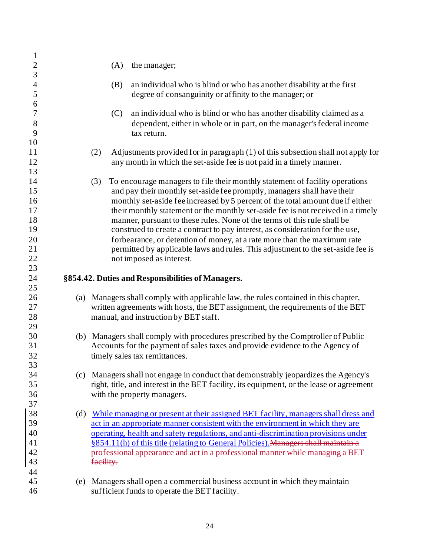| $\mathbf{1}$             |     |           |                                                                                          |
|--------------------------|-----|-----------|------------------------------------------------------------------------------------------|
| $\overline{c}$           |     | (A)       | the manager;                                                                             |
| 3                        |     |           |                                                                                          |
| $\overline{\mathcal{A}}$ |     | (B)       | an individual who is blind or who has another disability at the first                    |
| 5                        |     |           | degree of consanguinity or affinity to the manager; or                                   |
| 6                        |     |           |                                                                                          |
| 7                        |     | (C)       | an individual who is blind or who has another disability claimed as a                    |
| 8                        |     |           | dependent, either in whole or in part, on the manager's federal income                   |
| 9                        |     |           | tax return.                                                                              |
| 10                       |     |           |                                                                                          |
| 11                       |     | (2)       | Adjustments provided for in paragraph (1) of this subsection shall not apply for         |
| 12                       |     |           | any month in which the set-aside fee is not paid in a timely manner.                     |
| 13                       |     |           |                                                                                          |
| 14                       |     |           |                                                                                          |
| 15                       |     | (3)       | To encourage managers to file their monthly statement of facility operations             |
|                          |     |           | and pay their monthly set-aside fee promptly, managers shall have their                  |
| 16                       |     |           | monthly set-aside fee increased by 5 percent of the total amount due if either           |
| 17                       |     |           | their monthly statement or the monthly set-aside fee is not received in a timely         |
| 18                       |     |           | manner, pursuant to these rules. None of the terms of this rule shall be                 |
| 19                       |     |           | construed to create a contract to pay interest, as consideration for the use,            |
| 20                       |     |           | forbearance, or detention of money, at a rate more than the maximum rate                 |
| 21                       |     |           | permitted by applicable laws and rules. This adjustment to the set-aside fee is          |
| 22                       |     |           | not imposed as interest.                                                                 |
| 23                       |     |           |                                                                                          |
| 24                       |     |           | §854.42. Duties and Responsibilities of Managers.                                        |
| 25                       |     |           |                                                                                          |
|                          |     |           |                                                                                          |
| 26                       |     |           | (a) Managers shall comply with applicable law, the rules contained in this chapter,      |
| 27                       |     |           | written agreements with hosts, the BET assignment, the requirements of the BET           |
| 28                       |     |           | manual, and instruction by BET staff.                                                    |
| 29                       |     |           |                                                                                          |
| 30                       |     |           | (b) Managers shall comply with procedures prescribed by the Comptroller of Public        |
| 31                       |     |           | Accounts for the payment of sales taxes and provide evidence to the Agency of            |
| 32                       |     |           | timely sales tax remittances.                                                            |
| 33                       |     |           |                                                                                          |
| 34                       |     |           | (c) Managers shall not engage in conduct that demonstrably jeopardizes the Agency's      |
| 35                       |     |           | right, title, and interest in the BET facility, its equipment, or the lease or agreement |
| 36                       |     |           | with the property managers.                                                              |
| 37                       |     |           |                                                                                          |
| 38                       | (d) |           | While managing or present at their assigned BET facility, managers shall dress and       |
| 39                       |     |           | act in an appropriate manner consistent with the environment in which they are           |
| 40                       |     |           | operating, health and safety regulations, and anti-discrimination provisions under       |
| 41                       |     |           | §854.11(h) of this title (relating to General Policies). Managers shall maintain a       |
| 42                       |     |           | professional appearance and act in a professional manner while managing a BET            |
| 43                       |     | facility. |                                                                                          |
| 44                       |     |           |                                                                                          |
| 45                       |     |           | (e) Managers shall open a commercial business account in which they maintain             |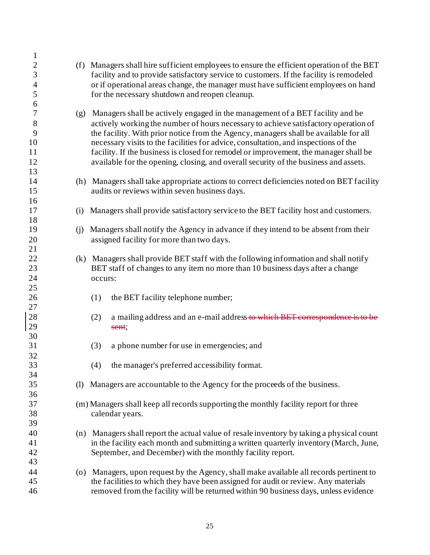| $\mathbf{1}$     |     |                                                                                           |
|------------------|-----|-------------------------------------------------------------------------------------------|
| $\overline{c}$   |     | (f) Managers shall hire sufficient employees to ensure the efficient operation of the BET |
| 3                |     | facility and to provide satisfactory service to customers. If the facility is remodeled   |
| $\overline{4}$   |     | or if operational areas change, the manager must have sufficient employees on hand        |
| 5                |     | for the necessary shutdown and reopen cleanup.                                            |
| 6                |     |                                                                                           |
| $\boldsymbol{7}$ |     |                                                                                           |
|                  |     | (g) Managers shall be actively engaged in the management of a BET facility and be         |
| $8\,$            |     | actively working the number of hours necessary to achieve satisfactory operation of       |
| 9                |     | the facility. With prior notice from the Agency, managers shall be available for all      |
| 10               |     | necessary visits to the facilities for advice, consultation, and inspections of the       |
| 11               |     | facility. If the business is closed for remodel or improvement, the manager shall be      |
| 12               |     | available for the opening, closing, and overall security of the business and assets.      |
| 13               |     |                                                                                           |
| 14               |     | (h) Managers shall take appropriate actions to correct deficiencies noted on BET facility |
| 15               |     | audits or reviews within seven business days.                                             |
| 16               |     |                                                                                           |
| 17               | (i) | Managers shall provide satisfactory service to the BET facility host and customers.       |
| 18               |     |                                                                                           |
| 19               | (i) | Managers shall notify the Agency in advance if they intend to be absent from their        |
| 20               |     | assigned facility for more than two days.                                                 |
| 21               |     |                                                                                           |
| 22               |     |                                                                                           |
|                  |     | (k) Managers shall provide BET staff with the following information and shall notify      |
| 23               |     | BET staff of changes to any item no more than 10 business days after a change             |
| 24               |     | occurs:                                                                                   |
| 25               |     |                                                                                           |
| 26               |     | the BET facility telephone number;<br>(1)                                                 |
| 27               |     |                                                                                           |
| 28               |     | a mailing address and an e-mail address to which BET correspondence<br>(2)                |
| 29               |     | sent;                                                                                     |
| 30               |     |                                                                                           |
| 31               |     | a phone number for use in emergencies; and<br>(3)                                         |
| 32               |     |                                                                                           |
| 33               |     | (4) the manager's preferred accessibility format.                                         |
| 34               |     |                                                                                           |
| 35               | (1) | Managers are accountable to the Agency for the proceeds of the business.                  |
| 36               |     |                                                                                           |
| 37               |     | (m) Managers shall keep all records supporting the monthly facility report for three      |
| 38               |     |                                                                                           |
|                  |     | calendar years.                                                                           |
| 39               |     |                                                                                           |
| 40               |     | (n) Managers shall report the actual value of resale inventory by taking a physical count |
| 41               |     | in the facility each month and submitting a written quarterly inventory (March, June,     |
| 42               |     | September, and December) with the monthly facility report.                                |
| 43               |     |                                                                                           |
| 44               |     | (o) Managers, upon request by the Agency, shall make available all records pertinent to   |
| 45               |     | the facilities to which they have been assigned for audit or review. Any materials        |
| 46               |     | removed from the facility will be returned within 90 business days, unless evidence       |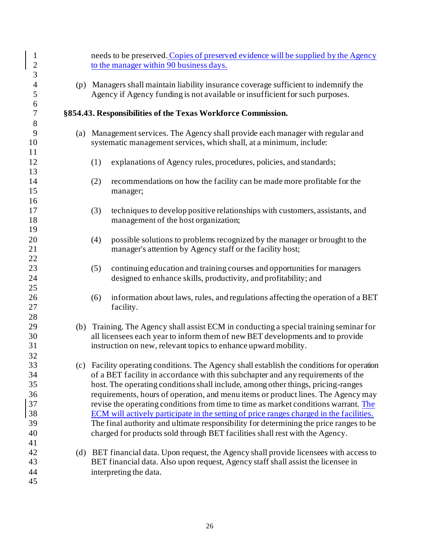| $\mathbf{1}$<br>$\overline{c}$ | needs to be preserved. Copies of preserved evidence will be supplied by the Agency<br>to the manager within 90 business days.                                                                                                                                                                                                                            |
|--------------------------------|----------------------------------------------------------------------------------------------------------------------------------------------------------------------------------------------------------------------------------------------------------------------------------------------------------------------------------------------------------|
| 3                              |                                                                                                                                                                                                                                                                                                                                                          |
| $\overline{4}$<br>5            | (p) Managers shall maintain liability insurance coverage sufficient to indemnify the<br>Agency if Agency funding is not available or insufficient for such purposes.                                                                                                                                                                                     |
| 6<br>$\boldsymbol{7}$<br>8     | §854.43. Responsibilities of the Texas Workforce Commission.                                                                                                                                                                                                                                                                                             |
| 9<br>10<br>11                  | (a) Management services. The Agency shall provide each manager with regular and<br>systematic management services, which shall, at a minimum, include:                                                                                                                                                                                                   |
| 12<br>13                       | (1)<br>explanations of Agency rules, procedures, policies, and standards;                                                                                                                                                                                                                                                                                |
| 14<br>15<br>16                 | (2)<br>recommendations on how the facility can be made more profitable for the<br>manager;                                                                                                                                                                                                                                                               |
| 17<br>18<br>19                 | (3)<br>techniques to develop positive relationships with customers, assistants, and<br>management of the host organization;                                                                                                                                                                                                                              |
| 20<br>21<br>22                 | possible solutions to problems recognized by the manager or brought to the<br>(4)<br>manager's attention by Agency staff or the facility host;                                                                                                                                                                                                           |
| 23<br>24<br>25                 | (5)<br>continuing education and training courses and opportunities for managers<br>designed to enhance skills, productivity, and profitability; and                                                                                                                                                                                                      |
| 26<br>27<br>28                 | information about laws, rules, and regulations affecting the operation of a BET<br>(6)<br>facility.                                                                                                                                                                                                                                                      |
| 29<br>30<br>31<br>32           | (b) Training. The Agency shall assist ECM in conducting a special training seminar for<br>all licensees each year to inform them of new BET developments and to provide<br>instruction on new, relevant topics to enhance upward mobility.                                                                                                               |
| 33<br>34<br>35<br>36           | (c) Facility operating conditions. The Agency shall establish the conditions for operation<br>of a BET facility in accordance with this subchapter and any requirements of the<br>host. The operating conditions shall include, among other things, pricing-ranges<br>requirements, hours of operation, and menu items or product lines. The Agency may  |
| 37<br>38<br>39<br>40<br>41     | revise the operating conditions from time to time as market conditions warrant. The<br>ECM will actively participate in the setting of price ranges charged in the facilities.<br>The final authority and ultimate responsibility for determining the price ranges to be<br>charged for products sold through BET facilities shall rest with the Agency. |
| 42<br>43<br>44<br>45           | (d) BET financial data. Upon request, the Agency shall provide licensees with access to<br>BET financial data. Also upon request, Agency staff shall assist the licensee in<br>interpreting the data.                                                                                                                                                    |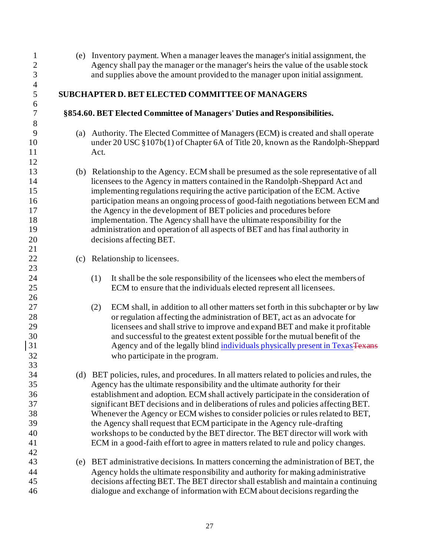(e) Inventory payment. When a manager leaves the manager's initial assignment, the 2 Agency shall pay the manager or the manager's heirs the value of the usable stock<br>3 and supplies above the amount provided to the manager upon initial assignment. and supplies above the amount provided to the manager upon initial assignment. **SUBCHAPTER D. BET ELECTED COMMITTEEOF MANAGERS §854.60. BET Elected Committee of Managers' Duties and Responsibilities.** (a) Authority. The Elected Committee of Managers (ECM) is created and shall operate under 20 USC §107b(1) of Chapter 6A of Title 20, known as the Randolph-Sheppard Act. (b) Relationship to the Agency. ECM shall be presumed as the sole representative of all licensees to the Agency in matters contained in the Randolph-Sheppard Act and implementing regulations requiring the active participation of the ECM. Active participation means an ongoing process of good-faith negotiations between ECM and the Agency in the development of BET policies and procedures before implementation. The Agency shall have the ultimate responsibility for the administration and operation of all aspects of BET and has final authority in decisions affecting BET. (c) Relationship to licensees. (1) It shall be the sole responsibility of the licensees who elect the members of ECM to ensure that the individuals elected represent all licensees. (2) ECM shall, in addition to all other matters set forth in this subchapter or by law or regulation affecting the administration of BET, act as an advocate for licensees and shall strive to improve and expand BET and make it profitable and successful to the greatest extent possible for the mutual benefit of the 31 Agency and of the legally blind individuals physically present in TexasTexans who participate in the program. (d) BET policies, rules, and procedures. In all matters related to policies and rules, the Agency has the ultimate responsibility and the ultimate authority for their establishment and adoption. ECM shall actively participate in the consideration of significant BET decisions and in deliberations of rules and policies affecting BET. Whenever the Agency or ECM wishes to consider policies or rules related to BET, the Agency shall request that ECM participate in the Agency rule-drafting workshops to be conducted by the BET director. The BET director will work with ECM in a good-faith effort to agree in matters related to rule and policy changes. (e) BET administrative decisions. In matters concerning the administration of BET, the Agency holds the ultimate responsibility and authority for making administrative decisions affecting BET. The BET director shall establish and maintain a continuing dialogue and exchange of information with ECM about decisions regarding the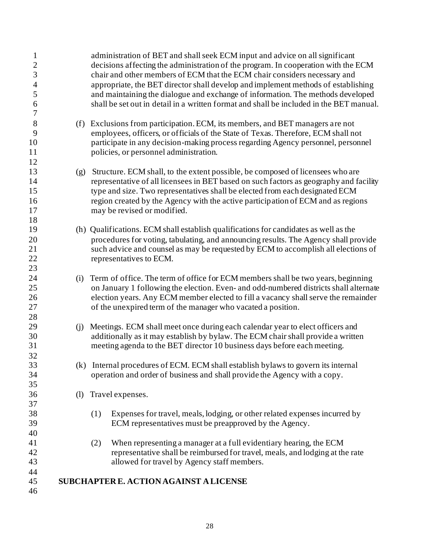| $\mathbf{1}$<br>$\overline{c}$<br>3<br>$\overline{4}$<br>5<br>6<br>7 |     | administration of BET and shall seek ECM input and advice on all significant<br>decisions affecting the administration of the program. In cooperation with the ECM<br>chair and other members of ECM that the ECM chair considers necessary and<br>appropriate, the BET director shall develop and implement methods of establishing<br>and maintaining the dialogue and exchange of information. The methods developed<br>shall be set out in detail in a written format and shall be included in the BET manual. |
|----------------------------------------------------------------------|-----|--------------------------------------------------------------------------------------------------------------------------------------------------------------------------------------------------------------------------------------------------------------------------------------------------------------------------------------------------------------------------------------------------------------------------------------------------------------------------------------------------------------------|
| 8<br>9<br>10<br>11<br>12                                             |     | (f) Exclusions from participation. ECM, its members, and BET managers are not<br>employees, officers, or officials of the State of Texas. Therefore, ECM shall not<br>participate in any decision-making process regarding Agency personnel, personnel<br>policies, or personnel administration.                                                                                                                                                                                                                   |
| 13<br>14<br>15<br>16<br>17<br>18                                     | (g) | Structure. ECM shall, to the extent possible, be composed of licensees who are<br>representative of all licensees in BET based on such factors as geography and facility<br>type and size. Two representatives shall be elected from each designated ECM<br>region created by the Agency with the active participation of ECM and as regions<br>may be revised or modified.                                                                                                                                        |
| 19<br>20<br>21<br>22<br>23                                           |     | (h) Qualifications. ECM shall establish qualifications for candidates as well as the<br>procedures for voting, tabulating, and announcing results. The Agency shall provide<br>such advice and counsel as may be requested by ECM to accomplish all elections of<br>representatives to ECM.                                                                                                                                                                                                                        |
| 24<br>25<br>26<br>27<br>28                                           | (i) | Term of office. The term of office for ECM members shall be two years, beginning<br>on January 1 following the election. Even- and odd-numbered districts shall alternate<br>election years. Any ECM member elected to fill a vacancy shall serve the remainder<br>of the unexpired term of the manager who vacated a position.                                                                                                                                                                                    |
| 29<br>30<br>31<br>32                                                 | (i) | Meetings. ECM shall meet once during each calendar year to elect officers and<br>additionally as it may establish by bylaw. The ECM chair shall provide a written<br>meeting agenda to the BET director 10 business days before each meeting.                                                                                                                                                                                                                                                                      |
| 33<br>34<br>35                                                       | (k) | Internal procedures of ECM. ECM shall establish bylaws to govern its internal<br>operation and order of business and shall provide the Agency with a copy.                                                                                                                                                                                                                                                                                                                                                         |
| 36<br>37                                                             | (1) | Travel expenses.                                                                                                                                                                                                                                                                                                                                                                                                                                                                                                   |
| 38<br>39<br>40                                                       |     | (1)<br>Expenses for travel, meals, lodging, or other related expenses incurred by<br>ECM representatives must be preapproved by the Agency.                                                                                                                                                                                                                                                                                                                                                                        |
| 41<br>42<br>43                                                       |     | When representing a manager at a full evidentiary hearing, the ECM<br>(2)<br>representative shall be reimbursed for travel, meals, and lodging at the rate<br>allowed for travel by Agency staff members.                                                                                                                                                                                                                                                                                                          |
| 44<br>45<br>46                                                       |     | SUBCHAPTER E. ACTION AGAINST A LICENSE                                                                                                                                                                                                                                                                                                                                                                                                                                                                             |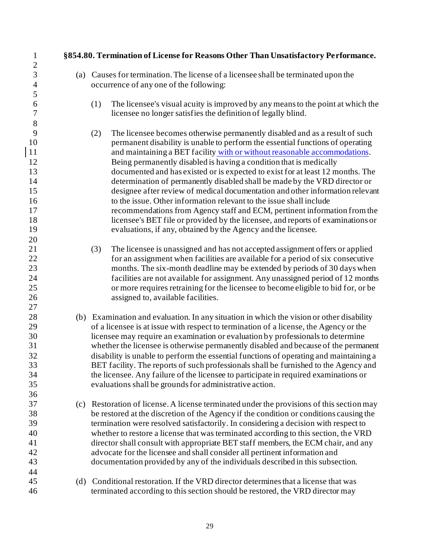**§854.80. Termination of License for Reasons Other Than Unsatisfactory Performance.** (a) Causes for termination. The license of a licensee shall be terminated upon the occurrence of any one of the following: (1) The licensee's visual acuity is improved by any means to the point at which the licensee no longer satisfies the definition of legally blind. (2) The licensee becomes otherwise permanently disabled and as a result of such permanent disability is unable to perform the essential functions of operating 11 and maintaining a BET facility with or without reasonable accommodations. Being permanently disabled is having a condition that is medically documented and has existed or is expected to exist for at least 12 months. The determination of permanently disabled shall be made by the VRD director or designee after review of medical documentation and other information relevant to the issue. Other information relevant to the issue shall include recommendations from Agency staff and ECM, pertinent information from the licensee's BET file or provided by the licensee, and reports of examinations or evaluations, if any, obtained by the Agency and the licensee. (3) The licensee is unassigned and has not accepted assignment offers or applied for an assignment when facilities are available for a period of six consecutive months. The six-month deadline may be extended by periods of 30 days when facilities are not available for assignment. Any unassigned period of 12 months or more requires retraining for the licensee to become eligible to bid for, or be assigned to, available facilities. (b) Examination and evaluation. In any situation in which the vision or other disability of a licensee is at issue with respect to termination of a license, the Agency or the licensee may require an examination or evaluation by professionals to determine whether the licensee is otherwise permanently disabled and because of the permanent disability is unable to perform the essential functions of operating and maintaining a BET facility. The reports of such professionals shall be furnished to the Agency and the licensee. Any failure of the licensee to participate in required examinations or evaluations shall be grounds for administrative action. (c) Restoration of license. A license terminated under the provisions of this section may be restored at the discretion of the Agency if the condition or conditions causing the termination were resolved satisfactorily. In considering a decision with respect to whether to restore a license that was terminated according to this section, the VRD director shall consult with appropriate BET staff members, the ECM chair, and any advocate for the licensee and shall consider all pertinent information and documentation provided by any of the individuals described in this subsection. (d) Conditional restoration. If the VRD director determines that a license that was terminated according to this section should be restored, the VRD director may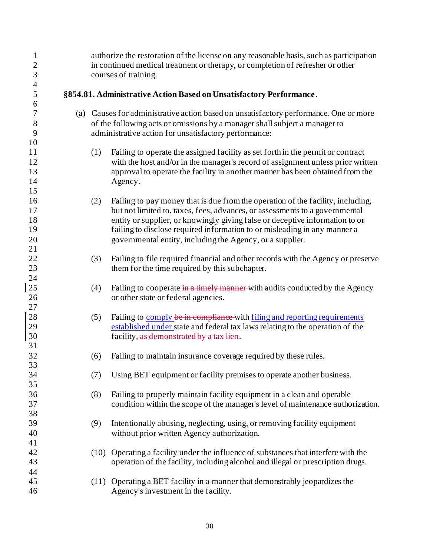| $\mathbf{1}$<br>$\overline{c}$ |     | authorize the restoration of the license on any reasonable basis, such as participation<br>in continued medical treatment or therapy, or completion of refresher or other |  |  |  |  |
|--------------------------------|-----|---------------------------------------------------------------------------------------------------------------------------------------------------------------------------|--|--|--|--|
| 3                              |     | courses of training.                                                                                                                                                      |  |  |  |  |
| $\overline{4}$                 |     |                                                                                                                                                                           |  |  |  |  |
| 5                              |     | §854.81. Administrative Action Based on Unsatisfactory Performance.                                                                                                       |  |  |  |  |
| 6                              |     |                                                                                                                                                                           |  |  |  |  |
| 7                              |     | (a) Causes for administrative action based on unsatisfactory performance. One or more                                                                                     |  |  |  |  |
| 8                              |     | of the following acts or omissions by a manager shall subject a manager to                                                                                                |  |  |  |  |
| 9                              |     | administrative action for unsatisfactory performance:                                                                                                                     |  |  |  |  |
| 10<br>11                       | (1) | Failing to operate the assigned facility as set forth in the permit or contract                                                                                           |  |  |  |  |
| 12                             |     | with the host and/or in the manager's record of assignment unless prior written                                                                                           |  |  |  |  |
| 13                             |     | approval to operate the facility in another manner has been obtained from the                                                                                             |  |  |  |  |
| 14                             |     | Agency.                                                                                                                                                                   |  |  |  |  |
| 15                             |     |                                                                                                                                                                           |  |  |  |  |
| 16                             | (2) | Failing to pay money that is due from the operation of the facility, including,                                                                                           |  |  |  |  |
| 17                             |     | but not limited to, taxes, fees, advances, or assessments to a governmental                                                                                               |  |  |  |  |
| 18                             |     | entity or supplier, or knowingly giving false or deceptive information to or                                                                                              |  |  |  |  |
| 19                             |     | failing to disclose required information to or misleading in any manner a                                                                                                 |  |  |  |  |
| 20                             |     | governmental entity, including the Agency, or a supplier.                                                                                                                 |  |  |  |  |
| 21                             |     |                                                                                                                                                                           |  |  |  |  |
| 22                             | (3) | Failing to file required financial and other records with the Agency or preserve                                                                                          |  |  |  |  |
| 23                             |     | them for the time required by this subchapter.                                                                                                                            |  |  |  |  |
| 24                             |     |                                                                                                                                                                           |  |  |  |  |
| 25                             | (4) | Failing to cooperate in a timely manner with audits conducted by the Agency                                                                                               |  |  |  |  |
| 26                             |     | or other state or federal agencies.                                                                                                                                       |  |  |  |  |
| 27                             |     |                                                                                                                                                                           |  |  |  |  |
| 28                             | (5) | Failing to comply be in compliance with filing and reporting requirements                                                                                                 |  |  |  |  |
| 29<br>30                       |     | established under state and federal tax laws relating to the operation of the<br>facility, as demonstrated by a tax lien.                                                 |  |  |  |  |
| 31                             |     |                                                                                                                                                                           |  |  |  |  |
| 32                             | (6) | Failing to maintain insurance coverage required by these rules.                                                                                                           |  |  |  |  |
| 33                             |     |                                                                                                                                                                           |  |  |  |  |
| 34                             | (7) | Using BET equipment or facility premises to operate another business.                                                                                                     |  |  |  |  |
| 35                             |     |                                                                                                                                                                           |  |  |  |  |
| 36                             | (8) | Failing to properly maintain facility equipment in a clean and operable                                                                                                   |  |  |  |  |
| 37                             |     | condition within the scope of the manager's level of maintenance authorization.                                                                                           |  |  |  |  |
| 38                             |     |                                                                                                                                                                           |  |  |  |  |
| 39                             | (9) | Intentionally abusing, neglecting, using, or removing facility equipment                                                                                                  |  |  |  |  |
| 40                             |     | without prior written Agency authorization.                                                                                                                               |  |  |  |  |
| 41                             |     |                                                                                                                                                                           |  |  |  |  |
| 42                             |     | (10) Operating a facility under the influence of substances that interfere with the                                                                                       |  |  |  |  |
| 43                             |     | operation of the facility, including alcohol and illegal or prescription drugs.                                                                                           |  |  |  |  |
| 44                             |     |                                                                                                                                                                           |  |  |  |  |
| 45<br>46                       |     | (11) Operating a BET facility in a manner that demonstrably jeopardizes the                                                                                               |  |  |  |  |
|                                |     | Agency's investment in the facility.                                                                                                                                      |  |  |  |  |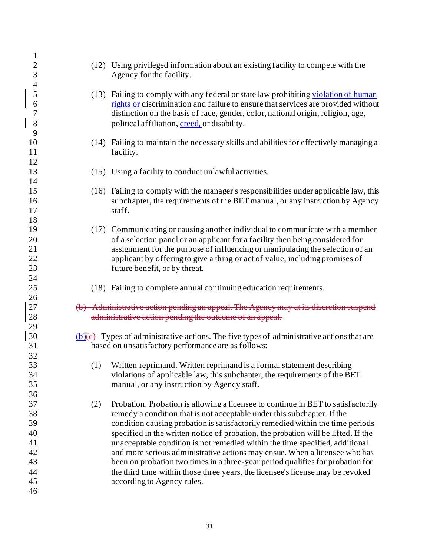| $\mathbf 1$                            |     |                                                                                                                                                                                                                                                                                                                                                                                                                                                                                                                                                                                     |
|----------------------------------------|-----|-------------------------------------------------------------------------------------------------------------------------------------------------------------------------------------------------------------------------------------------------------------------------------------------------------------------------------------------------------------------------------------------------------------------------------------------------------------------------------------------------------------------------------------------------------------------------------------|
| $\overline{c}$<br>3                    |     | (12) Using privileged information about an existing facility to compete with the<br>Agency for the facility.                                                                                                                                                                                                                                                                                                                                                                                                                                                                        |
| $\overline{4}$<br>5<br>6<br>7<br>8     |     | (13) Failing to comply with any federal or state law prohibiting violation of human<br>rights or discrimination and failure to ensure that services are provided without<br>distinction on the basis of race, gender, color, national origin, religion, age,<br>political affiliation, creed, or disability.                                                                                                                                                                                                                                                                        |
| 9<br>10<br>11                          |     | (14) Failing to maintain the necessary skills and abilities for effectively managing a<br>facility.                                                                                                                                                                                                                                                                                                                                                                                                                                                                                 |
| 12<br>13<br>14                         |     | (15) Using a facility to conduct unlawful activities.                                                                                                                                                                                                                                                                                                                                                                                                                                                                                                                               |
| 15<br>16<br>17                         |     | (16) Failing to comply with the manager's responsibilities under applicable law, this<br>subchapter, the requirements of the BET manual, or any instruction by Agency<br>staff.                                                                                                                                                                                                                                                                                                                                                                                                     |
| 18<br>19<br>20<br>21<br>22<br>23       |     | (17) Communicating or causing another individual to communicate with a member<br>of a selection panel or an applicant for a facility then being considered for<br>assignment for the purpose of influencing or manipulating the selection of an<br>applicant by offering to give a thing or act of value, including promises of<br>future benefit, or by threat.                                                                                                                                                                                                                    |
| 24<br>25<br>26                         |     | (18) Failing to complete annual continuing education requirements.                                                                                                                                                                                                                                                                                                                                                                                                                                                                                                                  |
| 27<br>28<br>29                         |     | (b) Administrative action pending an appeal. The Agency may at its discretion suspend<br>administrative action pending the outcome of an appeal.                                                                                                                                                                                                                                                                                                                                                                                                                                    |
| 30<br>31<br>32                         |     | $(b)(e)$ Types of administrative actions. The five types of administrative actions that are<br>based on unsatisfactory performance are as follows:                                                                                                                                                                                                                                                                                                                                                                                                                                  |
| 33<br>34<br>35<br>36                   |     | (1) Written reprimand. Written reprimand is a formal statement describing<br>violations of applicable law, this subchapter, the requirements of the BET<br>manual, or any instruction by Agency staff.                                                                                                                                                                                                                                                                                                                                                                              |
| 37<br>38<br>39<br>40<br>41<br>42<br>43 | (2) | Probation. Probation is allowing a licensee to continue in BET to satisfactorily<br>remedy a condition that is not acceptable under this subchapter. If the<br>condition causing probation is satisfactorily remedied within the time periods<br>specified in the written notice of probation, the probation will be lifted. If the<br>unacceptable condition is not remedied within the time specified, additional<br>and more serious administrative actions may ensue. When a licensee who has<br>been on probation two times in a three-year period qualifies for probation for |
| 44<br>45<br>46                         |     | the third time within those three years, the licensee's license may be revoked<br>according to Agency rules.                                                                                                                                                                                                                                                                                                                                                                                                                                                                        |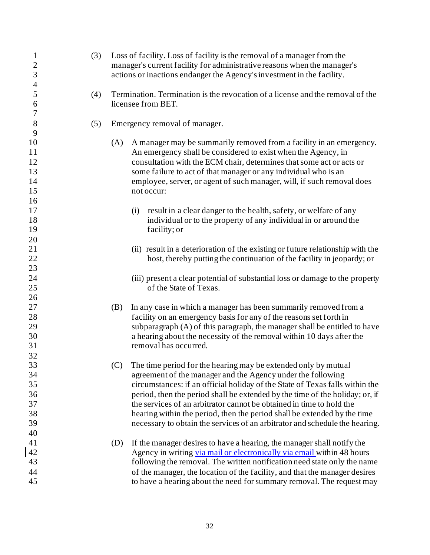| $\mathbf{1}$<br>$\frac{2}{3}$ | (3) |     | Loss of facility. Loss of facility is the removal of a manager from the<br>manager's current facility for administrative reasons when the manager's<br>actions or inactions endanger the Agency's investment in the facility. |  |  |  |
|-------------------------------|-----|-----|-------------------------------------------------------------------------------------------------------------------------------------------------------------------------------------------------------------------------------|--|--|--|
| $\overline{4}$<br>5<br>6      | (4) |     | Termination. Termination is the revocation of a license and the removal of the<br>licensee from BET.                                                                                                                          |  |  |  |
| 7<br>8                        | (5) |     | Emergency removal of manager.                                                                                                                                                                                                 |  |  |  |
| 9                             |     |     |                                                                                                                                                                                                                               |  |  |  |
| 10                            |     | (A) | A manager may be summarily removed from a facility in an emergency.                                                                                                                                                           |  |  |  |
| 11                            |     |     | An emergency shall be considered to exist when the Agency, in                                                                                                                                                                 |  |  |  |
| 12                            |     |     | consultation with the ECM chair, determines that some act or acts or                                                                                                                                                          |  |  |  |
| 13                            |     |     | some failure to act of that manager or any individual who is an                                                                                                                                                               |  |  |  |
| 14                            |     |     | employee, server, or agent of such manager, will, if such removal does                                                                                                                                                        |  |  |  |
| 15                            |     |     | not occur:                                                                                                                                                                                                                    |  |  |  |
| 16                            |     |     |                                                                                                                                                                                                                               |  |  |  |
| 17                            |     |     | result in a clear danger to the health, safety, or welfare of any<br>(i)                                                                                                                                                      |  |  |  |
| 18                            |     |     | individual or to the property of any individual in or around the                                                                                                                                                              |  |  |  |
| 19                            |     |     | facility; or                                                                                                                                                                                                                  |  |  |  |
| 20                            |     |     |                                                                                                                                                                                                                               |  |  |  |
| 21                            |     |     | (ii) result in a deterioration of the existing or future relationship with the                                                                                                                                                |  |  |  |
| 22                            |     |     | host, thereby putting the continuation of the facility in jeopardy; or                                                                                                                                                        |  |  |  |
| 23                            |     |     |                                                                                                                                                                                                                               |  |  |  |
| 24                            |     |     | (iii) present a clear potential of substantial loss or damage to the property                                                                                                                                                 |  |  |  |
| 25                            |     |     | of the State of Texas.                                                                                                                                                                                                        |  |  |  |
| 26                            |     |     |                                                                                                                                                                                                                               |  |  |  |
| 27                            |     | (B) | In any case in which a manager has been summarily removed from a                                                                                                                                                              |  |  |  |
| 28                            |     |     | facility on an emergency basis for any of the reasons set forth in                                                                                                                                                            |  |  |  |
| 29                            |     |     | subparagraph (A) of this paragraph, the manager shall be entitled to have                                                                                                                                                     |  |  |  |
| 30                            |     |     | a hearing about the necessity of the removal within 10 days after the                                                                                                                                                         |  |  |  |
| 31                            |     |     | removal has occurred.                                                                                                                                                                                                         |  |  |  |
| 32                            |     |     |                                                                                                                                                                                                                               |  |  |  |
| 33                            |     | (C) | The time period for the hearing may be extended only by mutual                                                                                                                                                                |  |  |  |
| 34                            |     |     | agreement of the manager and the Agency under the following                                                                                                                                                                   |  |  |  |
| 35                            |     |     | circumstances: if an official holiday of the State of Texas falls within the                                                                                                                                                  |  |  |  |
| 36                            |     |     | period, then the period shall be extended by the time of the holiday; or, if                                                                                                                                                  |  |  |  |
| 37                            |     |     | the services of an arbitrator cannot be obtained in time to hold the                                                                                                                                                          |  |  |  |
| 38                            |     |     | hearing within the period, then the period shall be extended by the time                                                                                                                                                      |  |  |  |
| 39                            |     |     | necessary to obtain the services of an arbitrator and schedule the hearing.                                                                                                                                                   |  |  |  |
| 40                            |     |     |                                                                                                                                                                                                                               |  |  |  |
| 41                            |     | (D) | If the manager desires to have a hearing, the manager shall notify the                                                                                                                                                        |  |  |  |
| 42                            |     |     | Agency in writing via mail or electronically via email within 48 hours                                                                                                                                                        |  |  |  |
| 43                            |     |     | following the removal. The written notification need state only the name                                                                                                                                                      |  |  |  |
| 44                            |     |     | of the manager, the location of the facility, and that the manager desires                                                                                                                                                    |  |  |  |
| 45                            |     |     | to have a hearing about the need for summary removal. The request may                                                                                                                                                         |  |  |  |
|                               |     |     |                                                                                                                                                                                                                               |  |  |  |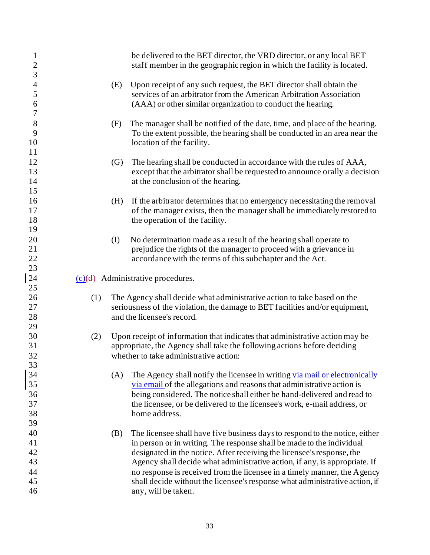| $\mathbf{1}$<br>$\overline{c}$<br>$\overline{3}$ |     |     | be delivered to the BET director, the VRD director, or any local BET<br>staff member in the geographic region in which the facility is located.                                                                                                                                                                                                                                                                                                                                                |
|--------------------------------------------------|-----|-----|------------------------------------------------------------------------------------------------------------------------------------------------------------------------------------------------------------------------------------------------------------------------------------------------------------------------------------------------------------------------------------------------------------------------------------------------------------------------------------------------|
| $\overline{4}$<br>5<br>6<br>$\overline{7}$       |     | (E) | Upon receipt of any such request, the BET director shall obtain the<br>services of an arbitrator from the American Arbitration Association<br>(AAA) or other similar organization to conduct the hearing.                                                                                                                                                                                                                                                                                      |
| 8<br>9<br>10<br>11                               |     | (F) | The manager shall be notified of the date, time, and place of the hearing.<br>To the extent possible, the hearing shall be conducted in an area near the<br>location of the facility.                                                                                                                                                                                                                                                                                                          |
| 12<br>13<br>14<br>15                             |     | (G) | The hearing shall be conducted in accordance with the rules of AAA,<br>except that the arbitrator shall be requested to announce orally a decision<br>at the conclusion of the hearing.                                                                                                                                                                                                                                                                                                        |
| 16<br>17<br>18<br>19                             |     | (H) | If the arbitrator determines that no emergency necessitating the removal<br>of the manager exists, then the manager shall be immediately restored to<br>the operation of the facility.                                                                                                                                                                                                                                                                                                         |
| 20<br>21<br>22<br>23                             |     | (I) | No determination made as a result of the hearing shall operate to<br>prejudice the rights of the manager to proceed with a grievance in<br>accordance with the terms of this subchapter and the Act.                                                                                                                                                                                                                                                                                           |
| 24                                               |     |     | $(c)(d)$ Administrative procedures.                                                                                                                                                                                                                                                                                                                                                                                                                                                            |
| 25<br>26<br>27<br>28<br>29                       | (1) |     | The Agency shall decide what administrative action to take based on the<br>seriousness of the violation, the damage to BET facilities and/or equipment,<br>and the licensee's record.                                                                                                                                                                                                                                                                                                          |
| 30<br>31<br>32<br>33                             | (2) |     | Upon receipt of information that indicates that administrative action may be<br>appropriate, the Agency shall take the following actions before deciding<br>whether to take administrative action:                                                                                                                                                                                                                                                                                             |
| 34<br>35<br>36<br>37<br>38<br>39                 |     | (A) | The Agency shall notify the licensee in writing via mail or electronically<br>via email of the allegations and reasons that administrative action is<br>being considered. The notice shall either be hand-delivered and read to<br>the licensee, or be delivered to the licensee's work, e-mail address, or<br>home address.                                                                                                                                                                   |
| 40<br>41<br>42<br>43<br>44<br>45<br>46           |     | (B) | The licensee shall have five business days to respond to the notice, either<br>in person or in writing. The response shall be made to the individual<br>designated in the notice. After receiving the licensee's response, the<br>Agency shall decide what administrative action, if any, is appropriate. If<br>no response is received from the licensee in a timely manner, the Agency<br>shall decide without the licensee's response what administrative action, if<br>any, will be taken. |

 $\overline{\phantom{a}}$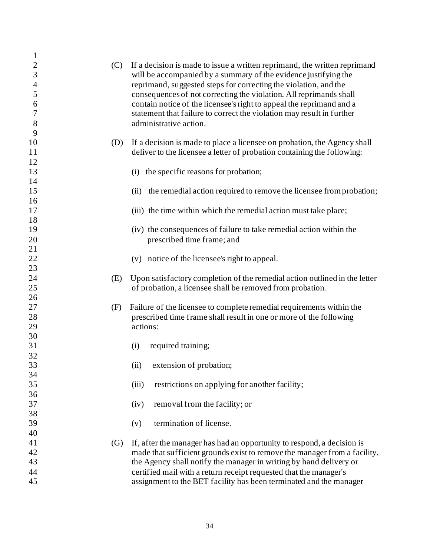| $\mathbf{1}$   |     |                                                                            |
|----------------|-----|----------------------------------------------------------------------------|
| $\overline{2}$ | (C) | If a decision is made to issue a written reprimand, the written reprimand  |
| $\mathfrak{Z}$ |     | will be accompanied by a summary of the evidence justifying the            |
| $\overline{4}$ |     | reprimand, suggested steps for correcting the violation, and the           |
| 5              |     | consequences of not correcting the violation. All reprimands shall         |
| 6              |     | contain notice of the licensee's right to appeal the reprimand and a       |
| 7              |     | statement that failure to correct the violation may result in further      |
| 8              |     | administrative action.                                                     |
| 9              |     |                                                                            |
| 10             | (D) | If a decision is made to place a licensee on probation, the Agency shall   |
| 11             |     | deliver to the licensee a letter of probation containing the following:    |
| 12             |     |                                                                            |
| 13             |     | (i) the specific reasons for probation;                                    |
| 14             |     |                                                                            |
| 15             |     | (ii) the remedial action required to remove the licensee from probation;   |
| 16             |     |                                                                            |
| 17             |     | (iii) the time within which the remedial action must take place;           |
| 18             |     |                                                                            |
| 19             |     | (iv) the consequences of failure to take remedial action within the        |
| 20             |     | prescribed time frame; and                                                 |
| 21             |     |                                                                            |
| $22\,$<br>23   |     | (v) notice of the licensee's right to appeal.                              |
| 24             | (E) | Upon satisfactory completion of the remedial action outlined in the letter |
| 25             |     | of probation, a licensee shall be removed from probation.                  |
| 26             |     |                                                                            |
| 27             | (F) | Failure of the licensee to complete remedial requirements within the       |
| 28             |     | prescribed time frame shall result in one or more of the following         |
| 29             |     | actions:                                                                   |
| 30             |     |                                                                            |
| 31             |     | required training;<br>(i)                                                  |
| 32             |     |                                                                            |
| 33             |     | (ii)<br>extension of probation;                                            |
| 34             |     |                                                                            |
| 35             |     | (iii)<br>restrictions on applying for another facility;                    |
| 36             |     |                                                                            |
| 37             |     | removal from the facility; or<br>(iv)                                      |
| 38             |     |                                                                            |
| 39             |     | termination of license.<br>(v)                                             |
| 40             |     |                                                                            |
| 41             | (G) | If, after the manager has had an opportunity to respond, a decision is     |
| 42             |     | made that sufficient grounds exist to remove the manager from a facility,  |
| 43             |     | the Agency shall notify the manager in writing by hand delivery or         |
| 44             |     | certified mail with a return receipt requested that the manager's          |
| 45             |     | assignment to the BET facility has been terminated and the manager         |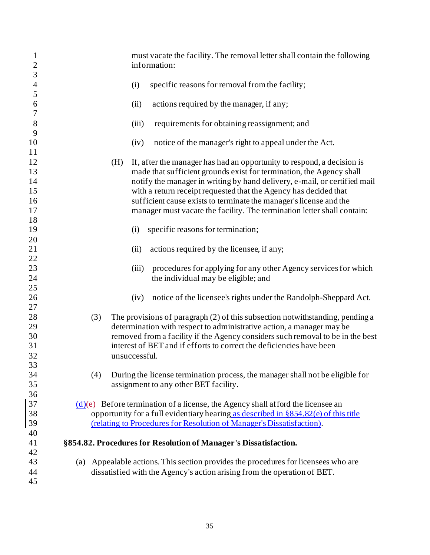| $\mathbf{1}$<br>$\overline{2}$<br>$\overline{3}$ |     |     | must vacate the facility. The removal letter shall contain the following<br>information:                                                               |
|--------------------------------------------------|-----|-----|--------------------------------------------------------------------------------------------------------------------------------------------------------|
| $\overline{4}$<br>5                              |     |     | specific reasons for removal from the facility;<br>(i)                                                                                                 |
| 6<br>$\overline{7}$                              |     |     | (ii)<br>actions required by the manager, if any;                                                                                                       |
| 8<br>9                                           |     |     | (iii)<br>requirements for obtaining reassignment; and                                                                                                  |
| 10<br>11                                         |     |     | notice of the manager's right to appeal under the Act.<br>(iv)                                                                                         |
| 12<br>13                                         |     | (H) | If, after the manager has had an opportunity to respond, a decision is<br>made that sufficient grounds exist for termination, the Agency shall         |
| 14                                               |     |     | notify the manager in writing by hand delivery, e-mail, or certified mail                                                                              |
| 15                                               |     |     | with a return receipt requested that the Agency has decided that                                                                                       |
| 16<br>17                                         |     |     | sufficient cause exists to terminate the manager's license and the                                                                                     |
| 18                                               |     |     | manager must vacate the facility. The termination letter shall contain:                                                                                |
| 19                                               |     |     | specific reasons for termination;<br>(i)                                                                                                               |
| 20                                               |     |     |                                                                                                                                                        |
| 21                                               |     |     | actions required by the licensee, if any;<br>(ii)                                                                                                      |
| 22                                               |     |     |                                                                                                                                                        |
| 23                                               |     |     | (iii)<br>procedures for applying for any other Agency services for which                                                                               |
| 24<br>25                                         |     |     | the individual may be eligible; and                                                                                                                    |
| 26                                               |     |     | notice of the licensee's rights under the Randolph-Sheppard Act.<br>(iv)                                                                               |
| 27                                               |     |     |                                                                                                                                                        |
| 28<br>29                                         | (3) |     | The provisions of paragraph (2) of this subsection notwithstanding, pending a<br>determination with respect to administrative action, a manager may be |
| 30                                               |     |     | removed from a facility if the Agency considers such removal to be in the best                                                                         |
| 31                                               |     |     | interest of BET and if efforts to correct the deficiencies have been                                                                                   |
| 32                                               |     |     | unsuccessful.                                                                                                                                          |
| 33                                               |     |     |                                                                                                                                                        |
| 34                                               | (4) |     | During the license termination process, the manager shall not be eligible for                                                                          |
| 35                                               |     |     | assignment to any other BET facility.                                                                                                                  |
| 36<br>37                                         |     |     | $(d)$ (e) Before termination of a license, the Agency shall afford the licensee an                                                                     |
| 38                                               |     |     | opportunity for a full evidentiary hearing as described in §854.82(e) of this title                                                                    |
| 39                                               |     |     | (relating to Procedures for Resolution of Manager's Dissatisfaction).                                                                                  |
| 40                                               |     |     |                                                                                                                                                        |
| 41                                               |     |     | §854.82. Procedures for Resolution of Manager's Dissatisfaction.                                                                                       |
| 42                                               |     |     |                                                                                                                                                        |
| 43                                               | (a) |     | Appealable actions. This section provides the procedures for licensees who are                                                                         |
| 44<br>45                                         |     |     | dissatisfied with the Agency's action arising from the operation of BET.                                                                               |
|                                                  |     |     |                                                                                                                                                        |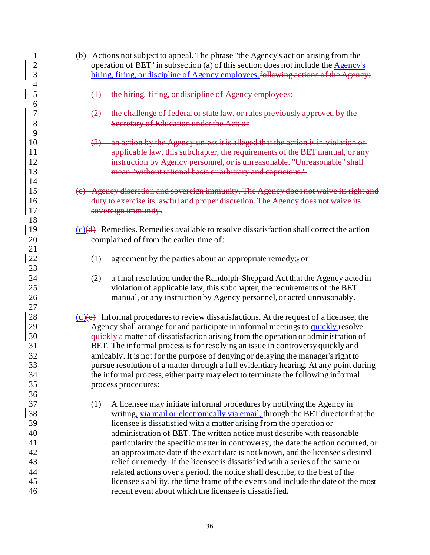| $\mathbf{1}$<br>$\overline{2}$ | (b) Actions not subject to appeal. The phrase "the Agency's action arising from the<br>operation of BET" in subsection (a) of this section does not include the $\overline{\text{Agency's}}$ |
|--------------------------------|----------------------------------------------------------------------------------------------------------------------------------------------------------------------------------------------|
| 3                              | hiring, firing, or discipline of Agency employees following actions of the Agency:                                                                                                           |
| $\overline{4}$                 |                                                                                                                                                                                              |
| 5<br>6                         | the hiring, firing, or discipline of Agency employees;                                                                                                                                       |
| 7                              | the challenge of federal or state law, or rules previously approved by the                                                                                                                   |
| 8                              | Secretary of Education under the Act; or                                                                                                                                                     |
| 9                              |                                                                                                                                                                                              |
| 10                             | an action by the Agency unless it is alleged that the action is in violation of                                                                                                              |
| 11                             | applicable law, this subchapter, the requirements of the BET manual, or any                                                                                                                  |
| 12                             | instruction by Agency personnel, or is unreasonable. "Unreasonable" shall                                                                                                                    |
| 13                             | mean "without rational basis or arbitrary and capricious."                                                                                                                                   |
| 14                             |                                                                                                                                                                                              |
| 15                             | (e) Agency discretion and sovereign immunity. The Agency does not waive its right and                                                                                                        |
| 16                             | duty to exercise its lawful and proper discretion. The Agency does not waive its                                                                                                             |
| 17                             | sovereign immunity.                                                                                                                                                                          |
| 18                             |                                                                                                                                                                                              |
| 19                             | $(c)(d)$ Remedies. Remedies available to resolve dissatisfaction shall correct the action                                                                                                    |
| 20                             | complained of from the earlier time of:                                                                                                                                                      |
| 21                             |                                                                                                                                                                                              |
| 22                             | (1)<br>agreement by the parties about an appropriate remedy; $\frac{1}{2}$ or                                                                                                                |
| 23                             |                                                                                                                                                                                              |
| 24                             | a final resolution under the Randolph-Sheppard Act that the Agency acted in<br>(2)                                                                                                           |
| 25                             | violation of applicable law, this subchapter, the requirements of the BET                                                                                                                    |
| 26                             | manual, or any instruction by Agency personnel, or acted unreasonably.                                                                                                                       |
| 27                             |                                                                                                                                                                                              |
| 28                             | $(d)$ (e) Informal procedures to review dissatisfactions. At the request of a licensee, the                                                                                                  |
| 29                             | Agency shall arrange for and participate in informal meetings to quickly resolve                                                                                                             |
| 30                             | quickly a matter of dissatisfaction arising from the operation or administration of                                                                                                          |
| 31                             | BET. The informal process is for resolving an issue in controversy quickly and                                                                                                               |
| 32                             | amicably. It is not for the purpose of denying or delaying the manager's right to                                                                                                            |
| 33                             | pursue resolution of a matter through a full evidentiary hearing. At any point during                                                                                                        |
| 34                             | the informal process, either party may elect to terminate the following informal                                                                                                             |
| 35                             | process procedures:                                                                                                                                                                          |
| 36                             |                                                                                                                                                                                              |
| 37                             | A licensee may initiate informal procedures by notifying the Agency in<br>(1)                                                                                                                |
| 38                             | writing, via mail or electronically via email, through the BET director that the                                                                                                             |
| 39                             | licensee is dissatisfied with a matter arising from the operation or                                                                                                                         |
| 40                             | administration of BET. The written notice must describe with reasonable                                                                                                                      |
| 41                             | particularity the specific matter in controversy, the date the action occurred, or                                                                                                           |
| 42                             | an approximate date if the exact date is not known, and the licensee's desired                                                                                                               |
| 43                             | relief or remedy. If the licensee is dissatisfied with a series of the same or                                                                                                               |
| 44                             | related actions over a period, the notice shall describe, to the best of the                                                                                                                 |
| 45                             | licensee's ability, the time frame of the events and include the date of the most                                                                                                            |
| 46                             | recent event about which the licensee is dissatisfied.                                                                                                                                       |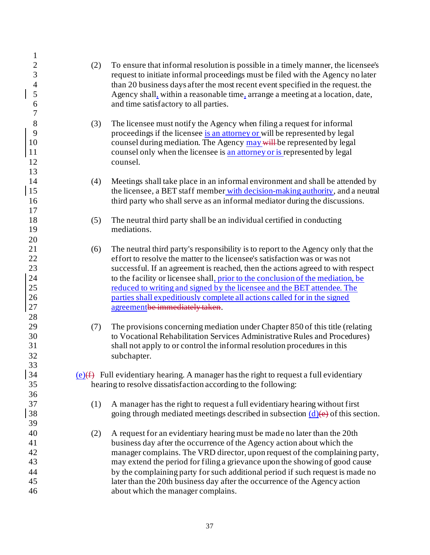| $\mathbf{1}$<br>$\overline{c}$<br>3<br>$\overline{4}$<br>5<br>6 | (2) | To ensure that informal resolution is possible in a timely manner, the licensee's<br>request to initiate informal proceedings must be filed with the Agency no later<br>than 20 business days after the most recent event specified in the request. the<br>Agency shall, within a reasonable time, arrange a meeting at a location, date,<br>and time satisfactory to all parties.                                                                                                                                              |
|-----------------------------------------------------------------|-----|---------------------------------------------------------------------------------------------------------------------------------------------------------------------------------------------------------------------------------------------------------------------------------------------------------------------------------------------------------------------------------------------------------------------------------------------------------------------------------------------------------------------------------|
| $\overline{7}$<br>8<br>9<br>10<br>11<br>12<br>13                | (3) | The licensee must notify the Agency when filing a request for informal<br>proceedings if the licensee is an attorney or will be represented by legal<br>counsel during mediation. The Agency may will be represented by legal<br>counsel only when the licensee is an attorney or is represented by legal<br>counsel.                                                                                                                                                                                                           |
| 14<br>15<br>16<br>17                                            | (4) | Meetings shall take place in an informal environment and shall be attended by<br>the licensee, a BET staff member with decision-making authority, and a neutral<br>third party who shall serve as an informal mediator during the discussions.                                                                                                                                                                                                                                                                                  |
| 18<br>19<br>20                                                  | (5) | The neutral third party shall be an individual certified in conducting<br>mediations.                                                                                                                                                                                                                                                                                                                                                                                                                                           |
| 21<br>22<br>23<br>24<br>25<br>26<br>$27\,$<br>28                | (6) | The neutral third party's responsibility is to report to the Agency only that the<br>effort to resolve the matter to the licensee's satisfaction was or was not<br>successful. If an agreement is reached, then the actions agreed to with respect<br>to the facility or licensee shall, prior to the conclusion of the mediation, be<br>reduced to writing and signed by the licensee and the BET attendee. The<br>parties shall expeditiously complete all actions called for in the signed<br>agreementbe immediately taken. |
| 29<br>30<br>31<br>32<br>33                                      | (7) | The provisions concerning mediation under Chapter 850 of this title (relating<br>to Vocational Rehabilitation Services Administrative Rules and Procedures)<br>shall not apply to or control the informal resolution procedures in this<br>subchapter.                                                                                                                                                                                                                                                                          |
| 34<br>35                                                        |     | $(e)$ ( $f$ ) Full evidentiary hearing. A manager has the right to request a full evidentiary<br>hearing to resolve dissatisfaction according to the following:                                                                                                                                                                                                                                                                                                                                                                 |
| 36<br>37<br>38                                                  | (1) | A manager has the right to request a full evidentiary hearing without first<br>going through mediated meetings described in subsection $(d)$ (e) of this section.                                                                                                                                                                                                                                                                                                                                                               |
| 39<br>40<br>41<br>42<br>43<br>44<br>45<br>46                    | (2) | A request for an evidentiary hearing must be made no later than the 20th<br>business day after the occurrence of the Agency action about which the<br>manager complains. The VRD director, upon request of the complaining party,<br>may extend the period for filing a grievance upon the showing of good cause<br>by the complaining party for such additional period if such request is made no<br>later than the 20th business day after the occurrence of the Agency action<br>about which the manager complains.          |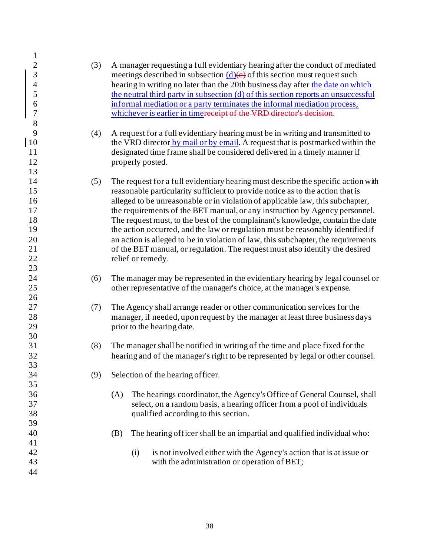| $\mathbf{1}$                                            |     |                                                                                                                                                                                                                                                                                                                                     |
|---------------------------------------------------------|-----|-------------------------------------------------------------------------------------------------------------------------------------------------------------------------------------------------------------------------------------------------------------------------------------------------------------------------------------|
| $\overline{c}$<br>$\overline{3}$<br>$\overline{4}$<br>5 | (3) | A manager requesting a full evidentiary hearing after the conduct of mediated<br>meetings described in subsection $(d)(e)$ of this section must request such<br>hearing in writing no later than the 20th business day after the date on which<br>the neutral third party in subsection (d) of this section reports an unsuccessful |
| 6<br>$\boldsymbol{7}$<br>$8\,$                          |     | informal mediation or a party terminates the informal mediation process,<br>whichever is earlier in time receipt of the VRD director's decision.                                                                                                                                                                                    |
| 9                                                       | (4) | A request for a full evidentiary hearing must be in writing and transmitted to                                                                                                                                                                                                                                                      |
| 10                                                      |     | the VRD director by mail or by email. A request that is postmarked within the                                                                                                                                                                                                                                                       |
| 11                                                      |     | designated time frame shall be considered delivered in a timely manner if                                                                                                                                                                                                                                                           |
| 12                                                      |     | properly posted.                                                                                                                                                                                                                                                                                                                    |
| 13<br>14                                                |     |                                                                                                                                                                                                                                                                                                                                     |
| 15                                                      | (5) | The request for a full evidentiary hearing must describe the specific action with<br>reasonable particularity sufficient to provide notice as to the action that is                                                                                                                                                                 |
| 16                                                      |     | alleged to be unreasonable or in violation of applicable law, this subchapter,                                                                                                                                                                                                                                                      |
| 17                                                      |     | the requirements of the BET manual, or any instruction by Agency personnel.                                                                                                                                                                                                                                                         |
| 18                                                      |     | The request must, to the best of the complainant's knowledge, contain the date                                                                                                                                                                                                                                                      |
| 19                                                      |     | the action occurred, and the law or regulation must be reasonably identified if                                                                                                                                                                                                                                                     |
| 20                                                      |     | an action is alleged to be in violation of law, this subchapter, the requirements                                                                                                                                                                                                                                                   |
| 21                                                      |     | of the BET manual, or regulation. The request must also identify the desired                                                                                                                                                                                                                                                        |
| 22                                                      |     | relief or remedy.                                                                                                                                                                                                                                                                                                                   |
| 23<br>24                                                |     |                                                                                                                                                                                                                                                                                                                                     |
| 25                                                      | (6) | The manager may be represented in the evidentiary hearing by legal counsel or<br>other representative of the manager's choice, at the manager's expense.                                                                                                                                                                            |
| 26                                                      |     |                                                                                                                                                                                                                                                                                                                                     |
| 27                                                      | (7) | The Agency shall arrange reader or other communication services for the                                                                                                                                                                                                                                                             |
| $28\,$                                                  |     | manager, if needed, upon request by the manager at least three business days                                                                                                                                                                                                                                                        |
| 29                                                      |     | prior to the hearing date.                                                                                                                                                                                                                                                                                                          |
| 30                                                      |     |                                                                                                                                                                                                                                                                                                                                     |
| 31                                                      | (8) | The manager shall be notified in writing of the time and place fixed for the                                                                                                                                                                                                                                                        |
| 32                                                      |     | hearing and of the manager's right to be represented by legal or other counsel.                                                                                                                                                                                                                                                     |
| 33<br>34                                                | (9) | Selection of the hearing officer.                                                                                                                                                                                                                                                                                                   |
| 35                                                      |     |                                                                                                                                                                                                                                                                                                                                     |
| 36                                                      |     | The hearings coordinator, the Agency's Office of General Counsel, shall<br>(A)                                                                                                                                                                                                                                                      |
| 37                                                      |     | select, on a random basis, a hearing officer from a pool of individuals                                                                                                                                                                                                                                                             |
| 38                                                      |     | qualified according to this section.                                                                                                                                                                                                                                                                                                |
| 39                                                      |     |                                                                                                                                                                                                                                                                                                                                     |
| 40                                                      |     | The hearing officer shall be an impartial and qualified individual who:<br>(B)                                                                                                                                                                                                                                                      |
| 41<br>42                                                |     |                                                                                                                                                                                                                                                                                                                                     |
| 43                                                      |     | is not involved either with the Agency's action that is at issue or<br>(i)<br>with the administration or operation of BET;                                                                                                                                                                                                          |
| 44                                                      |     |                                                                                                                                                                                                                                                                                                                                     |
|                                                         |     |                                                                                                                                                                                                                                                                                                                                     |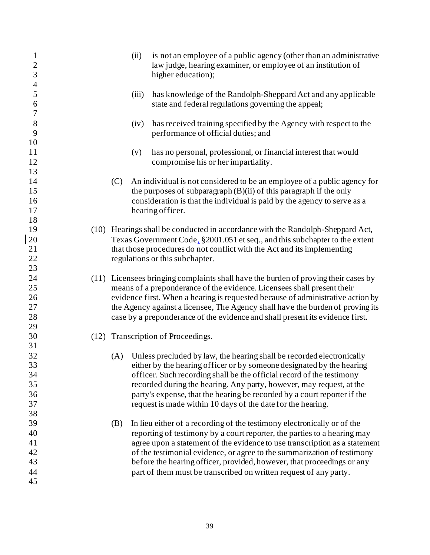| $\mathbf{1}$<br>$\sqrt{2}$<br>$\overline{3}$<br>$\overline{4}$ |     | (ii)  | is not an employee of a public agency (other than an administrative<br>law judge, hearing examiner, or employee of an institution of<br>higher education);                                                                                                                                                                                                                                                                                                  |
|----------------------------------------------------------------|-----|-------|-------------------------------------------------------------------------------------------------------------------------------------------------------------------------------------------------------------------------------------------------------------------------------------------------------------------------------------------------------------------------------------------------------------------------------------------------------------|
| 5<br>6<br>7                                                    |     | (iii) | has knowledge of the Randolph-Sheppard Act and any applicable<br>state and federal regulations governing the appeal;                                                                                                                                                                                                                                                                                                                                        |
| $8\,$<br>9<br>10                                               |     | (iv)  | has received training specified by the Agency with respect to the<br>performance of official duties; and                                                                                                                                                                                                                                                                                                                                                    |
| 11<br>12<br>13                                                 |     | (v)   | has no personal, professional, or financial interest that would<br>compromise his or her impartiality.                                                                                                                                                                                                                                                                                                                                                      |
| 14<br>15<br>16<br>17                                           | (C) |       | An individual is not considered to be an employee of a public agency for<br>the purposes of subparagraph $(B)(ii)$ of this paragraph if the only<br>consideration is that the individual is paid by the agency to serve as a<br>hearing officer.                                                                                                                                                                                                            |
| 18<br>19<br>20<br>21<br>22                                     |     |       | (10) Hearings shall be conducted in accordance with the Randolph-Sheppard Act,<br>Texas Government Code, §2001.051 et seq., and this subchapter to the extent<br>that those procedures do not conflict with the Act and its implementing<br>regulations or this subchapter.                                                                                                                                                                                 |
| 23<br>24<br>25<br>26<br>27<br>28<br>29                         |     |       | (11) Licensees bringing complaints shall have the burden of proving their cases by<br>means of a preponderance of the evidence. Licensees shall present their<br>evidence first. When a hearing is requested because of administrative action by<br>the Agency against a licensee, The Agency shall have the burden of proving its<br>case by a preponderance of the evidence and shall present its evidence first.                                         |
| 30<br>31                                                       |     |       | (12) Transcription of Proceedings.                                                                                                                                                                                                                                                                                                                                                                                                                          |
| 32<br>33<br>34<br>35<br>36<br>37                               | (A) |       | Unless precluded by law, the hearing shall be recorded electronically<br>either by the hearing officer or by someone designated by the hearing<br>officer. Such recording shall be the official record of the testimony<br>recorded during the hearing. Any party, however, may request, at the<br>party's expense, that the hearing be recorded by a court reporter if the<br>request is made within 10 days of the date for the hearing.                  |
| 38<br>39<br>40<br>41<br>42<br>43<br>44<br>45                   | (B) |       | In lieu either of a recording of the testimony electronically or of the<br>reporting of testimony by a court reporter, the parties to a hearing may<br>agree upon a statement of the evidence to use transcription as a statement<br>of the testimonial evidence, or agree to the summarization of testimony<br>before the hearing officer, provided, however, that proceedings or any<br>part of them must be transcribed on written request of any party. |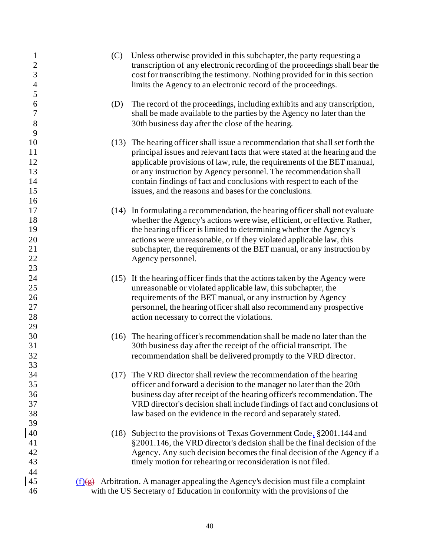| $\mathbf{1}$<br>$\overline{c}$ | (C)  | Unless otherwise provided in this subchapter, the party requesting a<br>transcription of any electronic recording of the proceedings shall bear the |
|--------------------------------|------|-----------------------------------------------------------------------------------------------------------------------------------------------------|
| $\overline{3}$                 |      | cost for transcribing the testimony. Nothing provided for in this section                                                                           |
| $\overline{\mathcal{L}}$       |      | limits the Agency to an electronic record of the proceedings.                                                                                       |
| 5                              |      |                                                                                                                                                     |
| 6                              | (D)  | The record of the proceedings, including exhibits and any transcription,                                                                            |
| 7                              |      | shall be made available to the parties by the Agency no later than the                                                                              |
| $8\,$                          |      | 30th business day after the close of the hearing.                                                                                                   |
| 9                              |      |                                                                                                                                                     |
| 10                             | (13) | The hearing officer shall issue a recommendation that shall set forth the                                                                           |
| 11                             |      | principal issues and relevant facts that were stated at the hearing and the                                                                         |
| 12                             |      | applicable provisions of law, rule, the requirements of the BET manual,                                                                             |
| 13                             |      | or any instruction by Agency personnel. The recommendation shall                                                                                    |
| 14                             |      | contain findings of fact and conclusions with respect to each of the                                                                                |
| 15                             |      | issues, and the reasons and bases for the conclusions.                                                                                              |
| 16                             |      |                                                                                                                                                     |
| 17                             |      | (14) In formulating a recommendation, the hearing officer shall not evaluate                                                                        |
| 18                             |      | whether the Agency's actions were wise, efficient, or effective. Rather,                                                                            |
| 19                             |      | the hearing officer is limited to determining whether the Agency's                                                                                  |
| 20                             |      | actions were unreasonable, or if they violated applicable law, this                                                                                 |
| 21                             |      | subchapter, the requirements of the BET manual, or any instruction by                                                                               |
| 22                             |      |                                                                                                                                                     |
| 23                             |      | Agency personnel.                                                                                                                                   |
| 24                             |      |                                                                                                                                                     |
| 25                             |      | (15) If the hearing officer finds that the actions taken by the Agency were                                                                         |
| 26                             |      | unreasonable or violated applicable law, this subchapter, the<br>requirements of the BET manual, or any instruction by Agency                       |
| 27                             |      | personnel, the hearing officer shall also recommend any prospective                                                                                 |
| 28                             |      |                                                                                                                                                     |
| 29                             |      | action necessary to correct the violations.                                                                                                         |
| 30                             | (16) | The hearing officer's recommendation shall be made no later than the                                                                                |
| 31                             |      | 30th business day after the receipt of the official transcript. The                                                                                 |
| 32                             |      | recommendation shall be delivered promptly to the VRD director.                                                                                     |
| 33                             |      |                                                                                                                                                     |
| 34                             |      | (17) The VRD director shall review the recommendation of the hearing                                                                                |
| 35                             |      | officer and forward a decision to the manager no later than the 20th                                                                                |
| 36                             |      | business day after receipt of the hearing officer's recommendation. The                                                                             |
| 37                             |      | VRD director's decision shall include findings of fact and conclusions of                                                                           |
| 38                             |      | law based on the evidence in the record and separately stated.                                                                                      |
| 39                             |      |                                                                                                                                                     |
| 40                             |      | (18) Subject to the provisions of Texas Government Code, §2001.144 and                                                                              |
| 41                             |      | §2001.146, the VRD director's decision shall be the final decision of the                                                                           |
| 42                             |      | Agency. Any such decision becomes the final decision of the Agency if a                                                                             |
| 43                             |      | timely motion for rehearing or reconsideration is not filed.                                                                                        |
| 44                             |      |                                                                                                                                                     |
| 45                             |      | $(f)(g)$ Arbitration. A manager appealing the Agency's decision must file a complaint                                                               |
| 46                             |      | with the US Secretary of Education in conformity with the provisions of the                                                                         |
|                                |      |                                                                                                                                                     |